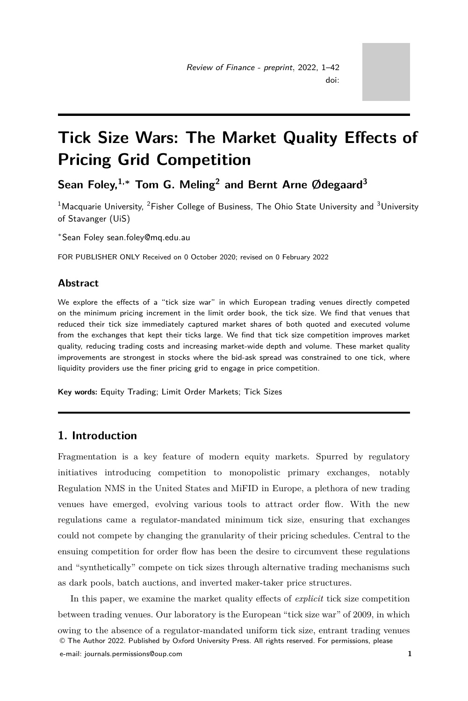# <span id="page-0-0"></span>**Tick Size Wars: The Market Quality Effects of Pricing Grid Competition**

**Sean Foley,1,<sup>∗</sup> Tom G. Meling<sup>2</sup> and Bernt Arne Ødegaard<sup>3</sup>**

<sup>1</sup>Macquarie University, <sup>2</sup>Fisher College of Business. The Ohio State University and <sup>3</sup>University of Stavanger (UiS)

<sup>∗</sup>Sean Foley<sean.foley@mq.edu.au>

FOR PUBLISHER ONLY Received on 0 October 2020; revised on 0 February 2022

# **Abstract**

We explore the effects of a "tick size war" in which European trading venues directly competed on the minimum pricing increment in the limit order book, the tick size. We find that venues that reduced their tick size immediately captured market shares of both quoted and executed volume from the exchanges that kept their ticks large. We find that tick size competition improves market quality, reducing trading costs and increasing market-wide depth and volume. These market quality improvements are strongest in stocks where the bid-ask spread was constrained to one tick, where liquidity providers use the finer pricing grid to engage in price competition.

**Key words:** Equity Trading; Limit Order Markets; Tick Sizes

# **1. Introduction**

Fragmentation is a key feature of modern equity markets. Spurred by regulatory initiatives introducing competition to monopolistic primary exchanges, notably Regulation NMS in the United States and MiFID in Europe, a plethora of new trading venues have emerged, evolving various tools to attract order flow. With the new regulations came a regulator-mandated minimum tick size, ensuring that exchanges could not compete by changing the granularity of their pricing schedules. Central to the ensuing competition for order flow has been the desire to circumvent these regulations and "synthetically" compete on tick sizes through alternative trading mechanisms such as dark pools, batch auctions, and inverted maker-taker price structures.

In this paper, we examine the market quality effects of *explicit* tick size competition between trading venues. Our laboratory is the European "tick size war" of 2009, in which owing to the absence of a regulator-mandated uniform tick size, entrant trading venues © The Author 2022. Published by Oxford University Press. All rights reserved. For permissions, please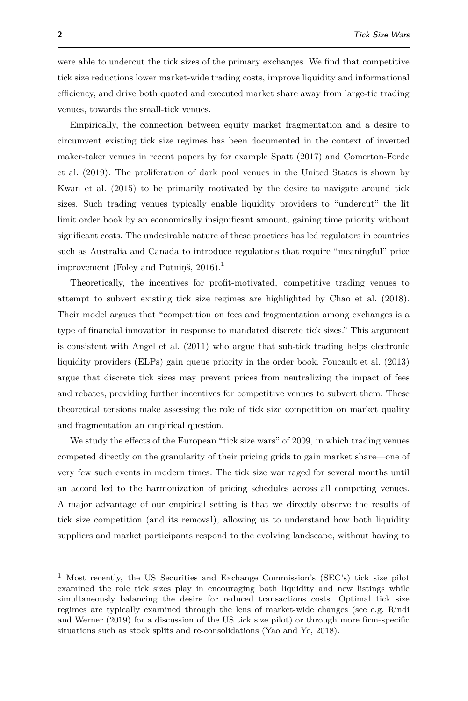were able to undercut the tick sizes of the primary exchanges. We find that competitive tick size reductions lower market-wide trading costs, improve liquidity and informational efficiency, and drive both quoted and executed market share away from large-tic trading venues, towards the small-tick venues.

Empirically, the connection between equity market fragmentation and a desire to circumvent existing tick size regimes has been documented in the context of inverted maker-taker venues in recent papers by for example [Spatt](#page-41-0) [\(2017\)](#page-41-0) and [Comerton-Forde](#page-39-0) [et al.](#page-39-0) [\(2019\)](#page-39-0). The proliferation of dark pool venues in the United States is shown by [Kwan et al.](#page-40-0) [\(2015\)](#page-40-0) to be primarily motivated by the desire to navigate around tick sizes. Such trading venues typically enable liquidity providers to "undercut" the lit limit order book by an economically insignificant amount, gaining time priority without significant costs. The undesirable nature of these practices has led regulators in countries such as Australia and Canada to introduce regulations that require "meaningful" price improvement (Foley and Putnins,  $2016$  $2016$  $2016$ ).<sup>1</sup>

Theoretically, the incentives for profit-motivated, competitive trading venues to attempt to subvert existing tick size regimes are highlighted by [Chao et al.](#page-39-1) [\(2018\)](#page-39-1). Their model argues that "competition on fees and fragmentation among exchanges is a type of financial innovation in response to mandated discrete tick sizes." This argument is consistent with [Angel et al.](#page-39-2) [\(2011\)](#page-39-2) who argue that sub-tick trading helps electronic liquidity providers (ELPs) gain queue priority in the order book. [Foucault et al.](#page-40-2) [\(2013\)](#page-40-2) argue that discrete tick sizes may prevent prices from neutralizing the impact of fees and rebates, providing further incentives for competitive venues to subvert them. These theoretical tensions make assessing the role of tick size competition on market quality and fragmentation an empirical question.

We study the effects of the European "tick size wars" of 2009, in which trading venues competed directly on the granularity of their pricing grids to gain market share—one of very few such events in modern times. The tick size war raged for several months until an accord led to the harmonization of pricing schedules across all competing venues. A major advantage of our empirical setting is that we directly observe the results of tick size competition (and its removal), allowing us to understand how both liquidity suppliers and market participants respond to the evolving landscape, without having to

<sup>1</sup> Most recently, the US Securities and Exchange Commission's (SEC's) tick size pilot examined the role tick sizes play in encouraging both liquidity and new listings while simultaneously balancing the desire for reduced transactions costs. Optimal tick size regimes are typically examined through the lens of market-wide changes (see e.g. [Rindi](#page-41-1) [and Werner](#page-41-1) [\(2019\)](#page-41-1) for a discussion of the US tick size pilot) or through more firm-specific situations such as stock splits and re-consolidations [\(Yao and Ye, 2018\)](#page-41-2).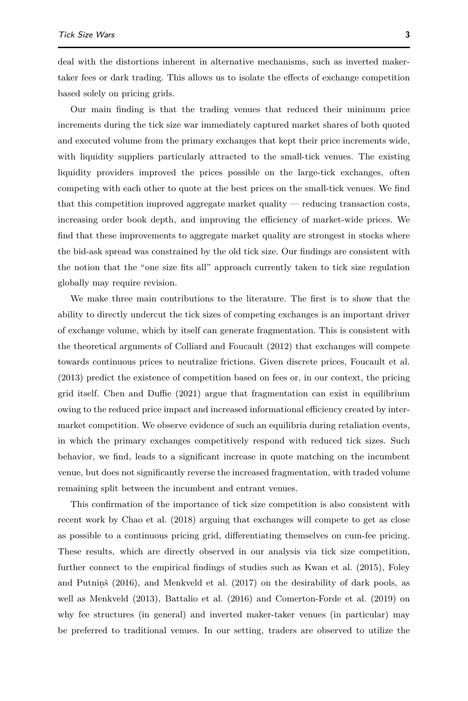deal with the distortions inherent in alternative mechanisms, such as inverted makertaker fees or dark trading. This allows us to isolate the effects of exchange competition based solely on pricing grids.

Our main finding is that the trading venues that reduced their minimum price increments during the tick size war immediately captured market shares of both quoted and executed volume from the primary exchanges that kept their price increments wide, with liquidity suppliers particularly attracted to the small-tick venues. The existing liquidity providers improved the prices possible on the large-tick exchanges, often competing with each other to quote at the best prices on the small-tick venues. We find that this competition improved aggregate market quality — reducing transaction costs, increasing order book depth, and improving the efficiency of market-wide prices. We find that these improvements to aggregate market quality are strongest in stocks where the bid-ask spread was constrained by the old tick size. Our findings are consistent with the notion that the "one size fits all" approach currently taken to tick size regulation globally may require revision.

We make three main contributions to the literature. The first is to show that the ability to directly undercut the tick sizes of competing exchanges is an important driver of exchange volume, which by itself can generate fragmentation. This is consistent with the theoretical arguments of [Colliard and Foucault](#page-39-3) [\(2012\)](#page-39-3) that exchanges will compete towards continuous prices to neutralize frictions. Given discrete prices, [Foucault et al.](#page-40-2) [\(2013\)](#page-40-2) predict the existence of competition based on fees or, in our context, the pricing grid itself. [Chen and Duffie](#page-39-4) [\(2021\)](#page-39-4) argue that fragmentation can exist in equilibrium owing to the reduced price impact and increased informational efficiency created by intermarket competition. We observe evidence of such an equilibria during retaliation events, in which the primary exchanges competitively respond with reduced tick sizes. Such behavior, we find, leads to a significant increase in quote matching on the incumbent venue, but does not significantly reverse the increased fragmentation, with traded volume remaining split between the incumbent and entrant venues.

This confirmation of the importance of tick size competition is also consistent with recent work by [Chao et al.](#page-39-1) [\(2018\)](#page-39-1) arguing that exchanges will compete to get as close as possible to a continuous pricing grid, differentiating themselves on cum-fee pricing. These results, which are directly observed in our analysis via tick size competition, further connect to the empirical findings of studies such as [Kwan et al.](#page-40-0) [\(2015\)](#page-40-0), [Foley](#page-40-1) and Putniņš [\(2016\)](#page-40-1), and [Menkveld et al.](#page-40-3) [\(2017\)](#page-40-3) on the desirability of dark pools, as well as [Menkveld](#page-40-4) [\(2013\)](#page-40-4), [Battalio et al.](#page-39-5) [\(2016\)](#page-39-5) and [Comerton-Forde et al.](#page-39-0) [\(2019\)](#page-39-0) on why fee structures (in general) and inverted maker-taker venues (in particular) may be preferred to traditional venues. In our setting, traders are observed to utilize the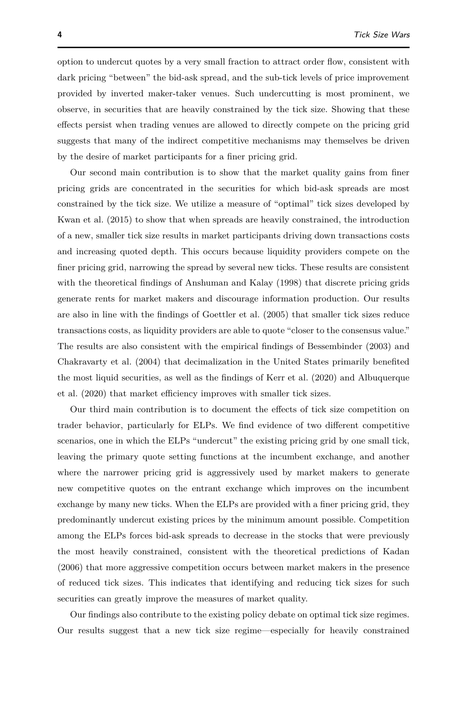option to undercut quotes by a very small fraction to attract order flow, consistent with dark pricing "between" the bid-ask spread, and the sub-tick levels of price improvement provided by inverted maker-taker venues. Such undercutting is most prominent, we observe, in securities that are heavily constrained by the tick size. Showing that these effects persist when trading venues are allowed to directly compete on the pricing grid suggests that many of the indirect competitive mechanisms may themselves be driven by the desire of market participants for a finer pricing grid.

Our second main contribution is to show that the market quality gains from finer pricing grids are concentrated in the securities for which bid-ask spreads are most constrained by the tick size. We utilize a measure of "optimal" tick sizes developed by [Kwan et al.](#page-40-0) [\(2015\)](#page-40-0) to show that when spreads are heavily constrained, the introduction of a new, smaller tick size results in market participants driving down transactions costs and increasing quoted depth. This occurs because liquidity providers compete on the finer pricing grid, narrowing the spread by several new ticks. These results are consistent with the theoretical findings of [Anshuman and Kalay](#page-39-6) [\(1998\)](#page-39-6) that discrete pricing grids generate rents for market makers and discourage information production. Our results are also in line with the findings of [Goettler et al.](#page-40-5) [\(2005\)](#page-40-5) that smaller tick sizes reduce transactions costs, as liquidity providers are able to quote "closer to the consensus value." The results are also consistent with the empirical findings of [Bessembinder](#page-39-7) [\(2003\)](#page-39-7) and [Chakravarty et al.](#page-39-8) [\(2004\)](#page-39-8) that decimalization in the United States primarily benefited the most liquid securities, as well as the findings of [Kerr et al.](#page-40-6) [\(2020\)](#page-40-6) and [Albuquerque](#page-39-9) [et al.](#page-39-9) [\(2020\)](#page-39-9) that market efficiency improves with smaller tick sizes.

Our third main contribution is to document the effects of tick size competition on trader behavior, particularly for ELPs. We find evidence of two different competitive scenarios, one in which the ELPs "undercut" the existing pricing grid by one small tick, leaving the primary quote setting functions at the incumbent exchange, and another where the narrower pricing grid is aggressively used by market makers to generate new competitive quotes on the entrant exchange which improves on the incumbent exchange by many new ticks. When the ELPs are provided with a finer pricing grid, they predominantly undercut existing prices by the minimum amount possible. Competition among the ELPs forces bid-ask spreads to decrease in the stocks that were previously the most heavily constrained, consistent with the theoretical predictions of [Kadan](#page-40-7) [\(2006\)](#page-40-7) that more aggressive competition occurs between market makers in the presence of reduced tick sizes. This indicates that identifying and reducing tick sizes for such securities can greatly improve the measures of market quality.

Our findings also contribute to the existing policy debate on optimal tick size regimes. Our results suggest that a new tick size regime—especially for heavily constrained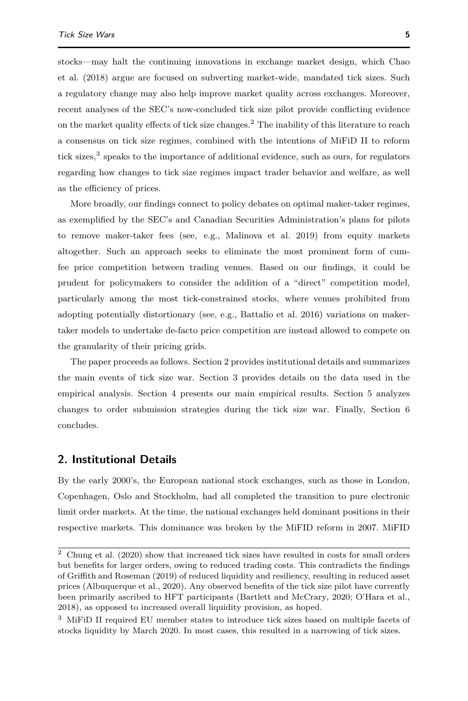stocks—may halt the continuing innovations in exchange market design, which [Chao](#page-39-1) [et al.](#page-39-1) [\(2018\)](#page-39-1) argue are focused on subverting market-wide, mandated tick sizes. Such a regulatory change may also help improve market quality across exchanges. Moreover, recent analyses of the SEC's now-concluded tick size pilot provide conflicting evidence on the market quality effects of tick size changes.<sup>[2](#page-0-0)</sup> The inability of this literature to reach a consensus on tick size regimes, combined with the intentions of MiFiD II to reform tick sizes,<sup>[3](#page-0-0)</sup> speaks to the importance of additional evidence, such as ours, for regulators regarding how changes to tick size regimes impact trader behavior and welfare, as well as the efficiency of prices.

More broadly, our findings connect to policy debates on optimal maker-taker regimes, as exemplified by the SEC's and Canadian Securities Administration's plans for pilots to remove maker-taker fees (see, e.g., [Malinova et al. 2019\)](#page-40-8) from equity markets altogether. Such an approach seeks to eliminate the most prominent form of cumfee price competition between trading venues. Based on our findings, it could be prudent for policymakers to consider the addition of a "direct" competition model, particularly among the most tick-constrained stocks, where venues prohibited from adopting potentially distortionary (see, e.g., [Battalio et al. 2016\)](#page-39-5) variations on makertaker models to undertake de-facto price competition are instead allowed to compete on the granularity of their pricing grids.

The paper proceeds as follows. Section [2](#page-4-0) provides institutional details and summarizes the main events of tick size war. Section [3](#page-7-0) provides details on the data used in the empirical analysis. Section [4](#page-12-0) presents our main empirical results. Section [5](#page-27-0) analyzes changes to order submission strategies during the tick size war. Finally, Section [6](#page-37-0) concludes.

# <span id="page-4-0"></span>**2. Institutional Details**

By the early 2000's, the European national stock exchanges, such as those in London, Copenhagen, Oslo and Stockholm, had all completed the transition to pure electronic limit order markets. At the time, the national exchanges held dominant positions in their respective markets. This dominance was broken by the MiFID reform in 2007. MiFID

 $\overline{2}$  [Chung et al.](#page-39-10) [\(2020\)](#page-39-10) show that increased tick sizes have resulted in costs for small orders but benefits for larger orders, owing to reduced trading costs. This contradicts the findings of [Griffith and Roseman](#page-40-9) [\(2019\)](#page-40-9) of reduced liquidity and resiliency, resulting in reduced asset prices [\(Albuquerque et al., 2020\)](#page-39-9). Any observed benefits of the tick size pilot have currently been primarily ascribed to HFT participants [\(Bartlett and McCrary, 2020;](#page-39-11) [O'Hara et al.,](#page-40-10) [2018\)](#page-40-10), as opposed to increased overall liquidity provision, as hoped.

<sup>3</sup> MiFiD II required EU member states to introduce tick sizes based on multiple facets of stocks liquidity by March 2020. In most cases, this resulted in a narrowing of tick sizes.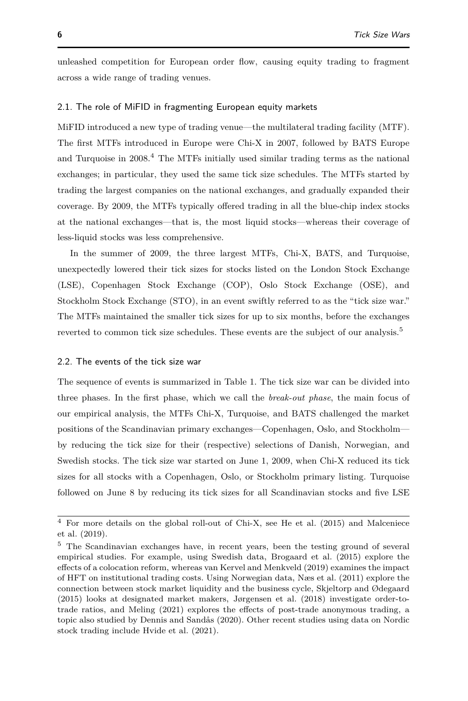unleashed competition for European order flow, causing equity trading to fragment across a wide range of trading venues.

#### 2.1. The role of MiFID in fragmenting European equity markets

MiFID introduced a new type of trading venue—the multilateral trading facility (MTF). The first MTFs introduced in Europe were Chi-X in 2007, followed by BATS Europe and Turquoise in  $2008<sup>4</sup>$  $2008<sup>4</sup>$  $2008<sup>4</sup>$ . The MTFs initially used similar trading terms as the national exchanges; in particular, they used the same tick size schedules. The MTFs started by trading the largest companies on the national exchanges, and gradually expanded their coverage. By 2009, the MTFs typically offered trading in all the blue-chip index stocks at the national exchanges—that is, the most liquid stocks—whereas their coverage of less-liquid stocks was less comprehensive.

In the summer of 2009, the three largest MTFs, Chi-X, BATS, and Turquoise, unexpectedly lowered their tick sizes for stocks listed on the London Stock Exchange (LSE), Copenhagen Stock Exchange (COP), Oslo Stock Exchange (OSE), and Stockholm Stock Exchange (STO), in an event swiftly referred to as the "tick size war." The MTFs maintained the smaller tick sizes for up to six months, before the exchanges reverted to common tick size schedules. These events are the subject of our analysis.<sup>[5](#page-0-0)</sup>

#### 2.2. The events of the tick size war

The sequence of events is summarized in Table [1.](#page-6-0) The tick size war can be divided into three phases. In the first phase, which we call the *break-out phase*, the main focus of our empirical analysis, the MTFs Chi-X, Turquoise, and BATS challenged the market positions of the Scandinavian primary exchanges—Copenhagen, Oslo, and Stockholm by reducing the tick size for their (respective) selections of Danish, Norwegian, and Swedish stocks. The tick size war started on June 1, 2009, when Chi-X reduced its tick sizes for all stocks with a Copenhagen, Oslo, or Stockholm primary listing. Turquoise followed on June 8 by reducing its tick sizes for all Scandinavian stocks and five LSE

<sup>4</sup> For more details on the global roll-out of Chi-X, see [He et al.](#page-40-11) [\(2015\)](#page-40-11) and [Malceniece](#page-40-12) [et al.](#page-40-12) [\(2019\)](#page-40-12).

<sup>&</sup>lt;sup>5</sup> The Scandinavian exchanges have, in recent years, been the testing ground of several empirical studies. For example, using Swedish data, [Brogaard et al.](#page-39-12) [\(2015\)](#page-39-12) explore the effects of a colocation reform, whereas [van Kervel and Menkveld](#page-41-3) [\(2019\)](#page-41-3) examines the impact of HFT on institutional trading costs. Using Norwegian data, [Næs et al.](#page-40-13) [\(2011\)](#page-40-13) explore the connection between stock market liquidity and the business cycle, [Skjeltorp and Ødegaard](#page-41-4) [\(2015\)](#page-41-4) looks at designated market makers, [Jørgensen et al.](#page-40-14) [\(2018\)](#page-40-14) investigate order-totrade ratios, and [Meling](#page-40-15) [\(2021\)](#page-40-15) explores the effects of post-trade anonymous trading, a topic also studied by [Dennis and Sandås](#page-40-16) [\(2020\)](#page-40-16). Other recent studies using data on Nordic stock trading include [Hvide et al.](#page-40-17) [\(2021\)](#page-40-17).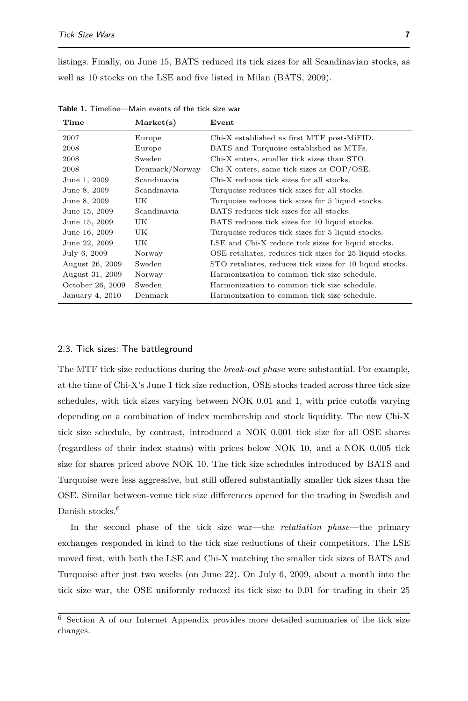listings. Finally, on June 15, BATS reduced its tick sizes for all Scandinavian stocks, as well as 10 stocks on the LSE and five listed in Milan [\(BATS, 2009\)](#page-39-13).

| Time             | Market(s)      | ${\bf Event}$                                            |
|------------------|----------------|----------------------------------------------------------|
| 2007             | Europe         | Chi-X established as first MTF post-MiFID.               |
| 2008             | Europe         | BATS and Turquoise established as MTFs.                  |
| 2008             | Sweden         | Chi-X enters, smaller tick sizes than STO.               |
| 2008             | Denmark/Norway | Chi-X enters, same tick sizes as COP/OSE.                |
| June 1, 2009     | Scandinavia    | Chi-X reduces tick sizes for all stocks.                 |
| June 8, 2009     | Scandinavia    | Turquoise reduces tick sizes for all stocks.             |
| June 8, 2009     | UK             | Turquoise reduces tick sizes for 5 liquid stocks.        |
| June 15, 2009    | Scandinavia    | BATS reduces tick sizes for all stocks.                  |
| June 15, 2009    | UK             | BATS reduces tick sizes for 10 liquid stocks.            |
| June 16, 2009    | UK             | Turquoise reduces tick sizes for 5 liquid stocks.        |
| June 22, 2009    | UK             | LSE and Chi-X reduce tick sizes for liquid stocks.       |
| July 6, 2009     | Norway         | OSE retaliates, reduces tick sizes for 25 liquid stocks. |
| August 26, 2009  | Sweden         | STO retaliates, reduces tick sizes for 10 liquid stocks. |
| August 31, 2009  | Norway         | Harmonization to common tick size schedule.              |
| October 26, 2009 | Sweden         | Harmonization to common tick size schedule.              |
| January 4, 2010  | Denmark        | Harmonization to common tick size schedule.              |

<span id="page-6-0"></span>**Table 1.** Timeline—Main events of the tick size war

### 2.3. Tick sizes: The battleground

The MTF tick size reductions during the *break-out phase* were substantial. For example, at the time of Chi-X's June 1 tick size reduction, OSE stocks traded across three tick size schedules, with tick sizes varying between NOK 0.01 and 1, with price cutoffs varying depending on a combination of index membership and stock liquidity. The new Chi-X tick size schedule, by contrast, introduced a NOK 0.001 tick size for all OSE shares (regardless of their index status) with prices below NOK 10, and a NOK 0.005 tick size for shares priced above NOK 10. The tick size schedules introduced by BATS and Turquoise were less aggressive, but still offered substantially smaller tick sizes than the OSE. Similar between-venue tick size differences opened for the trading in Swedish and Danish stocks.<sup>[6](#page-0-0)</sup>

In the second phase of the tick size war—the *retaliation phase*—the primary exchanges responded in kind to the tick size reductions of their competitors. The LSE moved first, with both the LSE and Chi-X matching the smaller tick sizes of BATS and Turquoise after just two weeks (on June 22). On July 6, 2009, about a month into the tick size war, the OSE uniformly reduced its tick size to 0.01 for trading in their 25

 $6$  Section A of our Internet Appendix provides more detailed summaries of the tick size changes.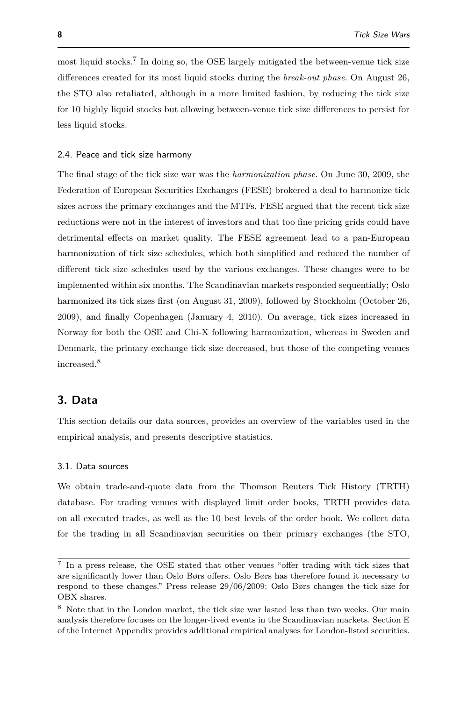most liquid stocks.<sup>[7](#page-0-0)</sup> In doing so, the OSE largely mitigated the between-venue tick size differences created for its most liquid stocks during the *break-out phase*. On August 26, the STO also retaliated, although in a more limited fashion, by reducing the tick size for 10 highly liquid stocks but allowing between-venue tick size differences to persist for less liquid stocks.

#### 2.4. Peace and tick size harmony

The final stage of the tick size war was the *harmonization phase*. On June 30, 2009, the Federation of European Securities Exchanges (FESE) brokered a deal to harmonize tick sizes across the primary exchanges and the MTFs. FESE argued that the recent tick size reductions were not in the interest of investors and that too fine pricing grids could have detrimental effects on market quality. The FESE agreement lead to a pan-European harmonization of tick size schedules, which both simplified and reduced the number of different tick size schedules used by the various exchanges. These changes were to be implemented within six months. The Scandinavian markets responded sequentially; Oslo harmonized its tick sizes first (on August 31, 2009), followed by Stockholm (October 26, 2009), and finally Copenhagen (January 4, 2010). On average, tick sizes increased in Norway for both the OSE and Chi-X following harmonization, whereas in Sweden and Denmark, the primary exchange tick size decreased, but those of the competing venues increased.<sup>[8](#page-0-0)</sup>

# <span id="page-7-0"></span>**3. Data**

This section details our data sources, provides an overview of the variables used in the empirical analysis, and presents descriptive statistics.

#### 3.1. Data sources

We obtain trade-and-quote data from the Thomson Reuters Tick History (TRTH) database. For trading venues with displayed limit order books, TRTH provides data on all executed trades, as well as the 10 best levels of the order book. We collect data for the trading in all Scandinavian securities on their primary exchanges (the STO,

<sup>7</sup> In a press release, the OSE stated that other venues "offer trading with tick sizes that are significantly lower than Oslo Børs offers. Oslo Børs has therefore found it necessary to respond to these changes." Press release 29/06/2009: [Oslo Børs changes the tick size for](https://www.oslobors.no/ob_eng/Oslo-Boers/About-Oslo-Boers/News-from-Oslo-Boers/Oslo-Boers-changes-the-tick-size-for-OBX-shares) [OBX shares.](https://www.oslobors.no/ob_eng/Oslo-Boers/About-Oslo-Boers/News-from-Oslo-Boers/Oslo-Boers-changes-the-tick-size-for-OBX-shares)

<sup>8</sup> Note that in the London market, the tick size war lasted less than two weeks. Our main analysis therefore focuses on the longer-lived events in the Scandinavian markets. Section E of the Internet Appendix provides additional empirical analyses for London-listed securities.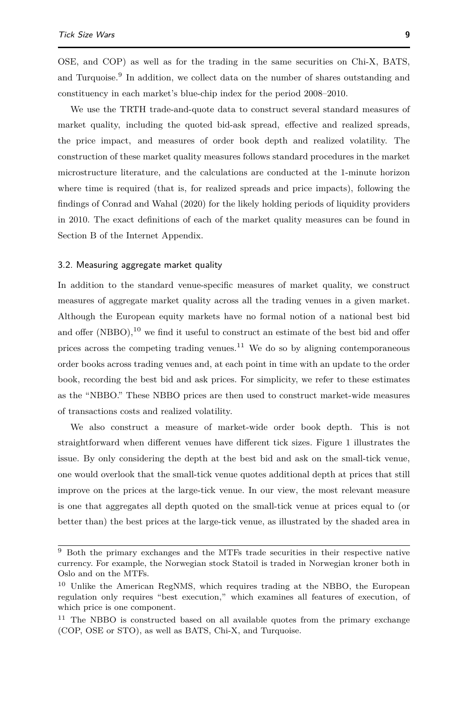OSE, and COP) as well as for the trading in the same securities on Chi-X, BATS, and Turquoise.<sup>[9](#page-0-0)</sup> In addition, we collect data on the number of shares outstanding and constituency in each market's blue-chip index for the period 2008–2010.

We use the TRTH trade-and-quote data to construct several standard measures of market quality, including the quoted bid-ask spread, effective and realized spreads, the price impact, and measures of order book depth and realized volatility. The construction of these market quality measures follows standard procedures in the market microstructure literature, and the calculations are conducted at the 1-minute horizon where time is required (that is, for realized spreads and price impacts), following the findings of [Conrad and Wahal](#page-40-18) [\(2020\)](#page-40-18) for the likely holding periods of liquidity providers in 2010. The exact definitions of each of the market quality measures can be found in Section B of the Internet Appendix.

#### 3.2. Measuring aggregate market quality

In addition to the standard venue-specific measures of market quality, we construct measures of aggregate market quality across all the trading venues in a given market. Although the European equity markets have no formal notion of a national best bid and offer (NBBO),  $^{10}$  $^{10}$  $^{10}$  we find it useful to construct an estimate of the best bid and offer prices across the competing trading venues.<sup>[11](#page-0-0)</sup> We do so by aligning contemporaneous order books across trading venues and, at each point in time with an update to the order book, recording the best bid and ask prices. For simplicity, we refer to these estimates as the "NBBO." These NBBO prices are then used to construct market-wide measures of transactions costs and realized volatility.

We also construct a measure of market-wide order book depth. This is not straightforward when different venues have different tick sizes. Figure [1](#page-9-0) illustrates the issue. By only considering the depth at the best bid and ask on the small-tick venue, one would overlook that the small-tick venue quotes additional depth at prices that still improve on the prices at the large-tick venue. In our view, the most relevant measure is one that aggregates all depth quoted on the small-tick venue at prices equal to (or better than) the best prices at the large-tick venue, as illustrated by the shaded area in

<sup>9</sup> Both the primary exchanges and the MTFs trade securities in their respective native currency. For example, the Norwegian stock Statoil is traded in Norwegian kroner both in Oslo and on the MTFs.

<sup>&</sup>lt;sup>10</sup> Unlike the American RegNMS, which requires trading at the NBBO, the European regulation only requires "best execution," which examines all features of execution, of which price is one component.

<sup>&</sup>lt;sup>11</sup> The NBBO is constructed based on all available quotes from the primary exchange (COP, OSE or STO), as well as BATS, Chi-X, and Turquoise.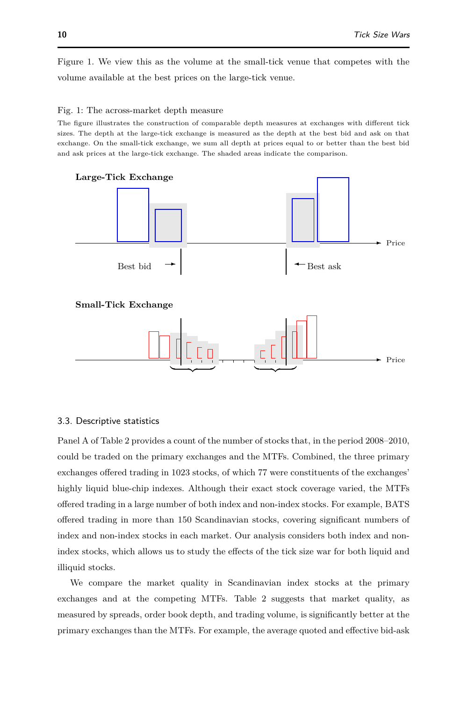Figure [1.](#page-9-0) We view this as the volume at the small-tick venue that competes with the volume available at the best prices on the large-tick venue.

#### <span id="page-9-0"></span>Fig. 1: The across-market depth measure

The figure illustrates the construction of comparable depth measures at exchanges with different tick sizes. The depth at the large-tick exchange is measured as the depth at the best bid and ask on that exchange. On the small-tick exchange, we sum all depth at prices equal to or better than the best bid and ask prices at the large-tick exchange. The shaded areas indicate the comparison.



# 3.3. Descriptive statistics

Panel A of Table [2](#page-11-0) provides a count of the number of stocks that, in the period 2008–2010, could be traded on the primary exchanges and the MTFs. Combined, the three primary exchanges offered trading in 1023 stocks, of which 77 were constituents of the exchanges' highly liquid blue-chip indexes. Although their exact stock coverage varied, the MTFs offered trading in a large number of both index and non-index stocks. For example, BATS offered trading in more than 150 Scandinavian stocks, covering significant numbers of index and non-index stocks in each market. Our analysis considers both index and nonindex stocks, which allows us to study the effects of the tick size war for both liquid and illiquid stocks.

We compare the market quality in Scandinavian index stocks at the primary exchanges and at the competing MTFs. Table [2](#page-11-0) suggests that market quality, as measured by spreads, order book depth, and trading volume, is significantly better at the primary exchanges than the MTFs. For example, the average quoted and effective bid-ask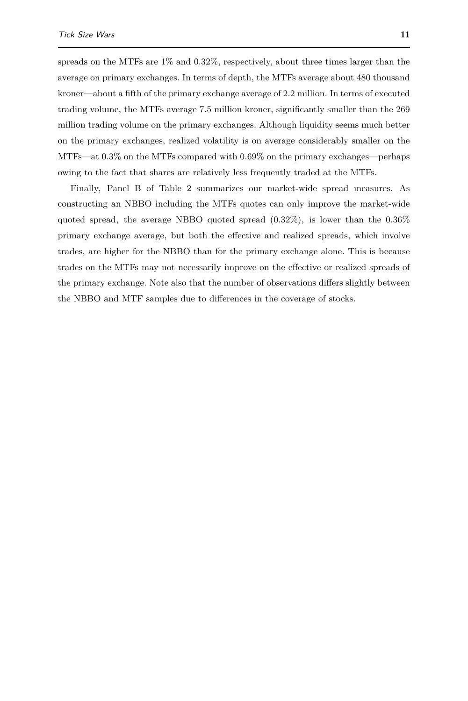spreads on the MTFs are 1% and 0.32%, respectively, about three times larger than the average on primary exchanges. In terms of depth, the MTFs average about 480 thousand kroner—about a fifth of the primary exchange average of 2.2 million. In terms of executed trading volume, the MTFs average 7.5 million kroner, significantly smaller than the 269 million trading volume on the primary exchanges. Although liquidity seems much better on the primary exchanges, realized volatility is on average considerably smaller on the MTFs—at 0.3% on the MTFs compared with 0.69% on the primary exchanges—perhaps owing to the fact that shares are relatively less frequently traded at the MTFs.

Finally, Panel B of Table [2](#page-11-0) summarizes our market-wide spread measures. As constructing an NBBO including the MTFs quotes can only improve the market-wide quoted spread, the average NBBO quoted spread (0*.*32%), is lower than the 0*.*36% primary exchange average, but both the effective and realized spreads, which involve trades, are higher for the NBBO than for the primary exchange alone. This is because trades on the MTFs may not necessarily improve on the effective or realized spreads of the primary exchange. Note also that the number of observations differs slightly between the NBBO and MTF samples due to differences in the coverage of stocks.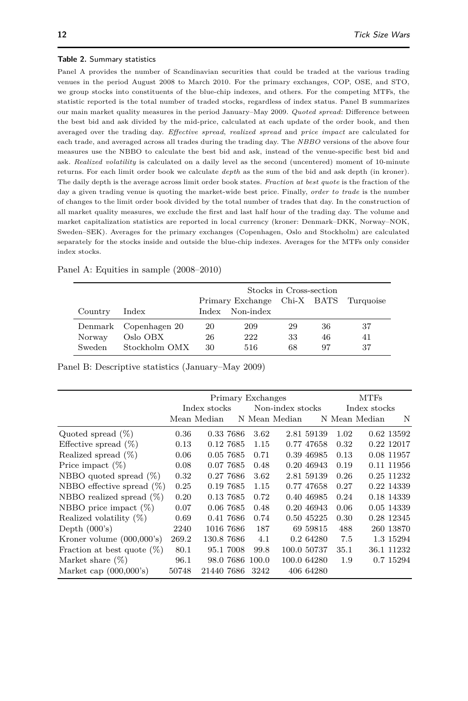#### <span id="page-11-0"></span>**Table 2.** Summary statistics

Panel A provides the number of Scandinavian securities that could be traded at the various trading venues in the period August 2008 to March 2010. For the primary exchanges, COP, OSE, and STO, we group stocks into constituents of the blue-chip indexes, and others. For the competing MTFs, the statistic reported is the total number of traded stocks, regardless of index status. Panel B summarizes our main market quality measures in the period January–May 2009. *Quoted spread*: Difference between the best bid and ask divided by the mid-price, calculated at each update of the order book, and then averaged over the trading day. *Effective spread*, *realized spread* and *price impact* are calculated for each trade, and averaged across all trades during the trading day. The *NBBO* versions of the above four measures use the NBBO to calculate the best bid and ask, instead of the venue-specific best bid and ask. *Realized volatility* is calculated on a daily level as the second (uncentered) moment of 10-minute returns. For each limit order book we calculate *depth* as the sum of the bid and ask depth (in kroner). The daily depth is the average across limit order book states. *Fraction at best quote* is the fraction of the day a given trading venue is quoting the market-wide best price. Finally, *order to trade* is the number of changes to the limit order book divided by the total number of trades that day. In the construction of all market quality measures, we exclude the first and last half hour of the trading day. The volume and market capitalization statistics are reported in local currency (kroner: Denmark–DKK, Norway–NOK, Sweden–SEK). Averages for the primary exchanges (Copenhagen, Oslo and Stockholm) are calculated separately for the stocks inside and outside the blue-chip indexes. Averages for the MTFs only consider index stocks.

|         |                       | Stocks in Cross-section |                                       |    |    |    |  |  |  |
|---------|-----------------------|-------------------------|---------------------------------------|----|----|----|--|--|--|
|         |                       |                         | Primary Exchange Chi-X BATS Turquoise |    |    |    |  |  |  |
| Country | Index                 |                         | Index Non-index                       |    |    |    |  |  |  |
|         | Denmark Copenhagen 20 | 20                      | 209                                   | 29 | 36 | 37 |  |  |  |
| Norway  | Oslo OBX              | 26                      | 222                                   | 33 | 46 | 41 |  |  |  |
| Sweden  | Stockholm OMX         | 30                      | 516                                   | 68 | 97 | 37 |  |  |  |

Panel A: Equities in sample (2008–2010)

Panel B: Descriptive statistics (January–May 2009)

|                               |              | Primary Exchanges |           |                 |                  |             | <b>MTFs</b> |               |            |  |
|-------------------------------|--------------|-------------------|-----------|-----------------|------------------|-------------|-------------|---------------|------------|--|
|                               | Index stocks |                   |           |                 | Non-index stocks |             |             | Index stocks  |            |  |
|                               |              | Mean Median       |           |                 | N Mean Median    |             |             | N Mean Median | N          |  |
| Quoted spread $(\%)$          | 0.36         |                   | 0.33 7686 | 3.62            |                  | 2.81 59139  | 1.02        |               | 0.62 13592 |  |
| Effective spread $(\%)$       | 0.13         |                   | 0.12 7685 | 1.15            |                  | 0.77 47658  | 0.32        |               | 0.22 12017 |  |
| Realized spread $(\%)$        | 0.06         |                   | 0.05 7685 | 0.71            |                  | 0.39 46985  | 0.13        |               | 0.08 11957 |  |
| Price impact $(\%)$           | 0.08         |                   | 0.07 7685 | 0.48            |                  | 0.20 46943  | 0.19        |               | 0.11 11956 |  |
| NBBO quoted spread $(\%)$     | 0.32         |                   | 0.27 7686 | 3.62            |                  | 2.81 59139  | 0.26        |               | 0.25 11232 |  |
| NBBO effective spread $(\%)$  | 0.25         |                   | 0.19 7685 | 1.15            |                  | 0.77 47658  | 0.27        |               | 0.22 14339 |  |
| NBBO realized spread $(\%)$   | 0.20         |                   | 0.13 7685 | 0.72            |                  | 0.40 46985  | 0.24        |               | 0.18 14339 |  |
| NBBO price impact $(\%)$      | 0.07         |                   | 0.06 7685 | 0.48            |                  | 0.20 46943  | 0.06        |               | 0.05 14339 |  |
| Realized volatility $(\%)$    | 0.69         |                   | 0.41 7686 | 0.74            |                  | 0.50 45225  | 0.30        |               | 0.28 12345 |  |
| Depth $(000's)$               | 2240         |                   | 1016 7686 | 187             |                  | 69 59815    | 488         |               | 260 13870  |  |
| Kroner volume $(000,000)$ 's) | 269.2        | 130.8 7686        |           | 4.1             |                  | 0.2 64280   | 7.5         |               | 1.3 15294  |  |
| Fraction at best quote $(\%)$ | 80.1         |                   | 95.1 7008 | 99.8            |                  | 100.0 50737 | 35.1        |               | 36.1 11232 |  |
| Market share $(\%)$           | 96.1         |                   |           | 98.0 7686 100.0 |                  | 100.0 64280 | 1.9         |               | 0.7 15294  |  |
| Market cap $(000,000)$ 's)    | 50748        | 21440 7686        |           | 3242            |                  | 406 64280   |             |               |            |  |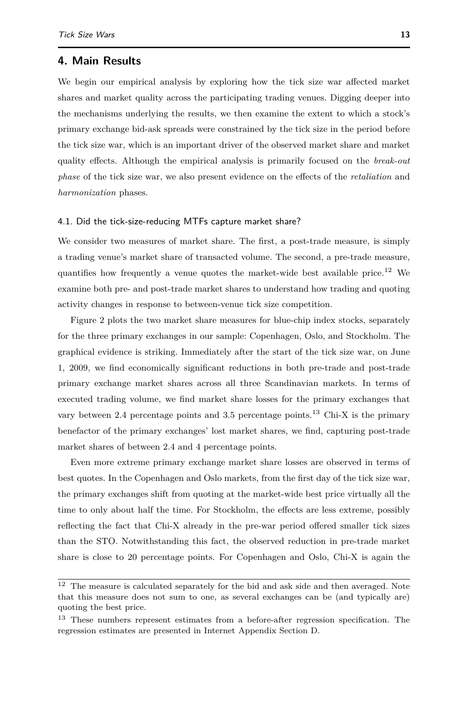# <span id="page-12-0"></span>**4. Main Results**

We begin our empirical analysis by exploring how the tick size war affected market shares and market quality across the participating trading venues. Digging deeper into the mechanisms underlying the results, we then examine the extent to which a stock's primary exchange bid-ask spreads were constrained by the tick size in the period before the tick size war, which is an important driver of the observed market share and market quality effects. Although the empirical analysis is primarily focused on the *break-out phase* of the tick size war, we also present evidence on the effects of the *retaliation* and *harmonization* phases.

#### 4.1. Did the tick-size-reducing MTFs capture market share?

We consider two measures of market share. The first, a post-trade measure, is simply a trading venue's market share of transacted volume. The second, a pre-trade measure, quantifies how frequently a venue quotes the market-wide best available price.<sup>[12](#page-0-0)</sup> We examine both pre- and post-trade market shares to understand how trading and quoting activity changes in response to between-venue tick size competition.

Figure [2](#page-14-0) plots the two market share measures for blue-chip index stocks, separately for the three primary exchanges in our sample: Copenhagen, Oslo, and Stockholm. The graphical evidence is striking. Immediately after the start of the tick size war, on June 1, 2009, we find economically significant reductions in both pre-trade and post-trade primary exchange market shares across all three Scandinavian markets. In terms of executed trading volume, we find market share losses for the primary exchanges that vary between 2.4 percentage points and 3.5 percentage points.<sup>[13](#page-0-0)</sup> Chi-X is the primary benefactor of the primary exchanges' lost market shares, we find, capturing post-trade market shares of between 2.4 and 4 percentage points.

Even more extreme primary exchange market share losses are observed in terms of best quotes. In the Copenhagen and Oslo markets, from the first day of the tick size war, the primary exchanges shift from quoting at the market-wide best price virtually all the time to only about half the time. For Stockholm, the effects are less extreme, possibly reflecting the fact that Chi-X already in the pre-war period offered smaller tick sizes than the STO. Notwithstanding this fact, the observed reduction in pre-trade market share is close to 20 percentage points. For Copenhagen and Oslo, Chi-X is again the

 $^{12}\,$  The measure is calculated separately for the bid and ask side and then averaged. Note that this measure does not sum to one, as several exchanges can be (and typically are) quoting the best price.

<sup>&</sup>lt;sup>13</sup> These numbers represent estimates from a before-after regression specification. The regression estimates are presented in Internet Appendix Section D.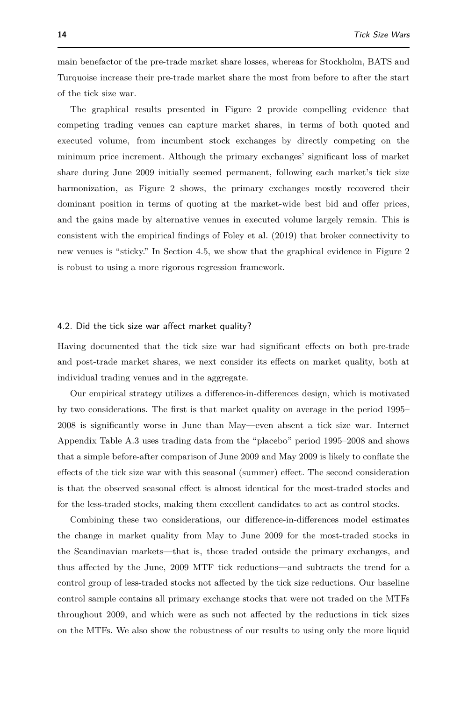main benefactor of the pre-trade market share losses, whereas for Stockholm, BATS and Turquoise increase their pre-trade market share the most from before to after the start of the tick size war.

The graphical results presented in Figure [2](#page-14-0) provide compelling evidence that competing trading venues can capture market shares, in terms of both quoted and executed volume, from incumbent stock exchanges by directly competing on the minimum price increment. Although the primary exchanges' significant loss of market share during June 2009 initially seemed permanent, following each market's tick size harmonization, as Figure [2](#page-14-0) shows, the primary exchanges mostly recovered their dominant position in terms of quoting at the market-wide best bid and offer prices, and the gains made by alternative venues in executed volume largely remain. This is consistent with the empirical findings of [Foley et al.](#page-40-19) [\(2019\)](#page-40-19) that broker connectivity to new venues is "sticky." In Section [4.5,](#page-25-0) we show that the graphical evidence in Figure [2](#page-14-0) is robust to using a more rigorous regression framework.

## <span id="page-13-0"></span>4.2. Did the tick size war affect market quality?

Having documented that the tick size war had significant effects on both pre-trade and post-trade market shares, we next consider its effects on market quality, both at individual trading venues and in the aggregate.

Our empirical strategy utilizes a difference-in-differences design, which is motivated by two considerations. The first is that market quality on average in the period 1995– 2008 is significantly worse in June than May—even absent a tick size war. Internet Appendix Table A.3 uses trading data from the "placebo" period 1995–2008 and shows that a simple before-after comparison of June 2009 and May 2009 is likely to conflate the effects of the tick size war with this seasonal (summer) effect. The second consideration is that the observed seasonal effect is almost identical for the most-traded stocks and for the less-traded stocks, making them excellent candidates to act as control stocks.

Combining these two considerations, our difference-in-differences model estimates the change in market quality from May to June 2009 for the most-traded stocks in the Scandinavian markets—that is, those traded outside the primary exchanges, and thus affected by the June, 2009 MTF tick reductions—and subtracts the trend for a control group of less-traded stocks not affected by the tick size reductions. Our baseline control sample contains all primary exchange stocks that were not traded on the MTFs throughout 2009, and which were as such not affected by the reductions in tick sizes on the MTFs. We also show the robustness of our results to using only the more liquid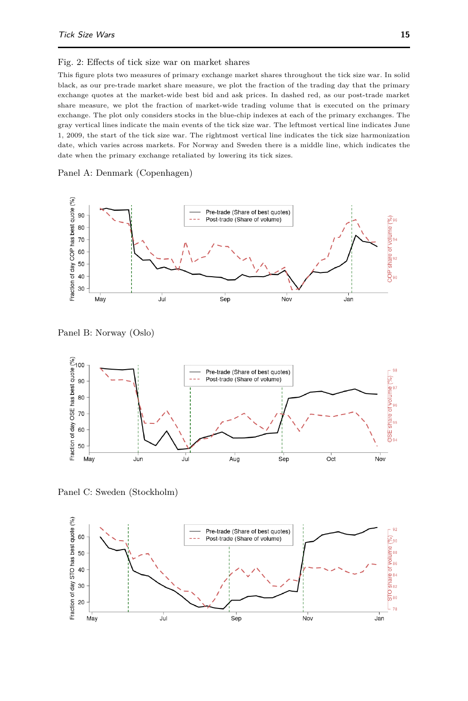#### <span id="page-14-0"></span>Fig. 2: Effects of tick size war on market shares

This figure plots two measures of primary exchange market shares throughout the tick size war. In solid black, as our pre-trade market share measure, we plot the fraction of the trading day that the primary exchange quotes at the market-wide best bid and ask prices. In dashed red, as our post-trade market share measure, we plot the fraction of market-wide trading volume that is executed on the primary exchange. The plot only considers stocks in the blue-chip indexes at each of the primary exchanges. The gray vertical lines indicate the main events of the tick size war. The leftmost vertical line indicates June 1, 2009, the start of the tick size war. The rightmost vertical line indicates the tick size harmonization date, which varies across markets. For Norway and Sweden there is a middle line, which indicates the date when the primary exchange retaliated by lowering its tick sizes.

### Panel A: Denmark (Copenhagen)



Panel B: Norway (Oslo)



Panel C: Sweden (Stockholm)

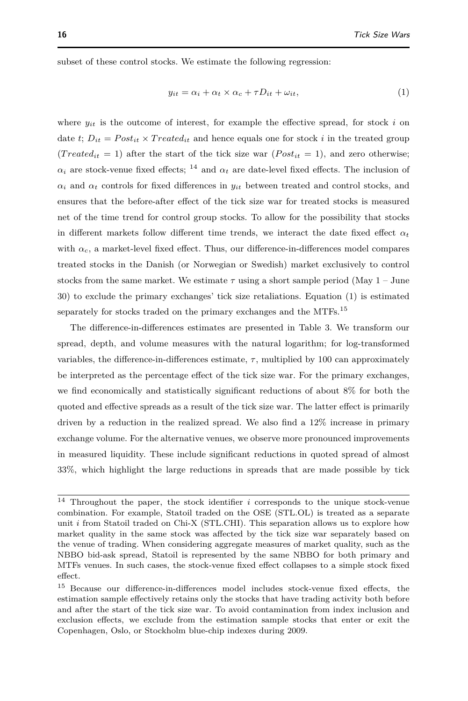subset of these control stocks. We estimate the following regression:

<span id="page-15-1"></span><span id="page-15-0"></span>
$$
y_{it} = \alpha_i + \alpha_t \times \alpha_c + \tau D_{it} + \omega_{it}, \tag{1}
$$

where  $y_{it}$  is the outcome of interest, for example the effective spread, for stock  $i$  on date *t*;  $D_{it} = Post_{it} \times Treated_{it}$  and hence equals one for stock *i* in the treated group  $(Treated_{it} = 1)$  after the start of the tick size war  $(Post_{it} = 1)$ , and zero otherwise;  $α<sub>i</sub>$  are stock-venue fixed effects; <sup>[14](#page-0-0)</sup> and  $α<sub>t</sub>$  are date-level fixed effects. The inclusion of  $\alpha_i$  and  $\alpha_t$  controls for fixed differences in  $y_{it}$  between treated and control stocks, and ensures that the before-after effect of the tick size war for treated stocks is measured net of the time trend for control group stocks. To allow for the possibility that stocks in different markets follow different time trends, we interact the date fixed effect  $\alpha_t$ with  $\alpha_c$ , a market-level fixed effect. Thus, our difference-in-differences model compares treated stocks in the Danish (or Norwegian or Swedish) market exclusively to control stocks from the same market. We estimate  $\tau$  using a short sample period (May  $1 -$  June 30) to exclude the primary exchanges' tick size retaliations. Equation [\(1\)](#page-15-0) is estimated separately for stocks traded on the primary exchanges and the MTFs.<sup>[15](#page-0-0)</sup>

The difference-in-differences estimates are presented in Table [3.](#page-17-0) We transform our spread, depth, and volume measures with the natural logarithm; for log-transformed variables, the difference-in-differences estimate,  $\tau$ , multiplied by 100 can approximately be interpreted as the percentage effect of the tick size war. For the primary exchanges, we find economically and statistically significant reductions of about 8% for both the quoted and effective spreads as a result of the tick size war. The latter effect is primarily driven by a reduction in the realized spread. We also find a 12% increase in primary exchange volume. For the alternative venues, we observe more pronounced improvements in measured liquidity. These include significant reductions in quoted spread of almost 33%, which highlight the large reductions in spreads that are made possible by tick

<sup>14</sup> Throughout the paper, the stock identifier *i* corresponds to the unique stock-venue combination. For example, Statoil traded on the OSE (STL.OL) is treated as a separate unit *i* from Statoil traded on Chi-X (STL.CHI). This separation allows us to explore how market quality in the same stock was affected by the tick size war separately based on the venue of trading. When considering aggregate measures of market quality, such as the NBBO bid-ask spread, Statoil is represented by the same NBBO for both primary and MTFs venues. In such cases, the stock-venue fixed effect collapses to a simple stock fixed effect.

<sup>15</sup> Because our difference-in-differences model includes stock-venue fixed effects, the estimation sample effectively retains only the stocks that have trading activity both before and after the start of the tick size war. To avoid contamination from index inclusion and exclusion effects, we exclude from the estimation sample stocks that enter or exit the Copenhagen, Oslo, or Stockholm blue-chip indexes during 2009.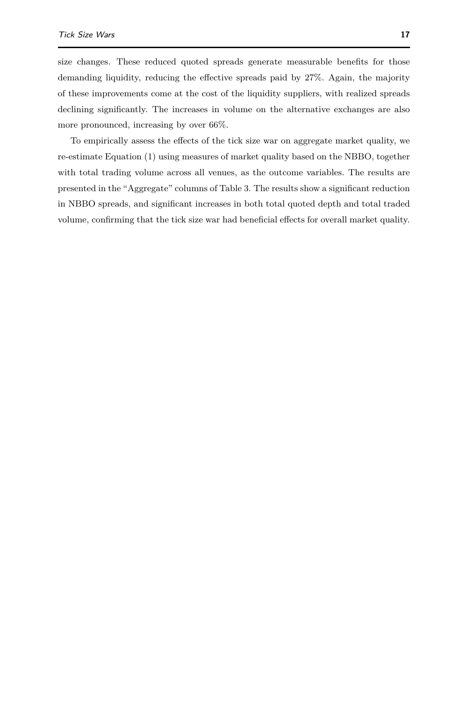size changes. These reduced quoted spreads generate measurable benefits for those demanding liquidity, reducing the effective spreads paid by 27%. Again, the majority of these improvements come at the cost of the liquidity suppliers, with realized spreads declining significantly. The increases in volume on the alternative exchanges are also more pronounced, increasing by over 66%.

To empirically assess the effects of the tick size war on aggregate market quality, we re-estimate Equation [\(1\)](#page-15-0) using measures of market quality based on the NBBO, together with total trading volume across all venues, as the outcome variables. The results are presented in the "Aggregate" columns of Table [3.](#page-17-0) The results show a significant reduction in NBBO spreads, and significant increases in both total quoted depth and total traded volume, confirming that the tick size war had beneficial effects for overall market quality.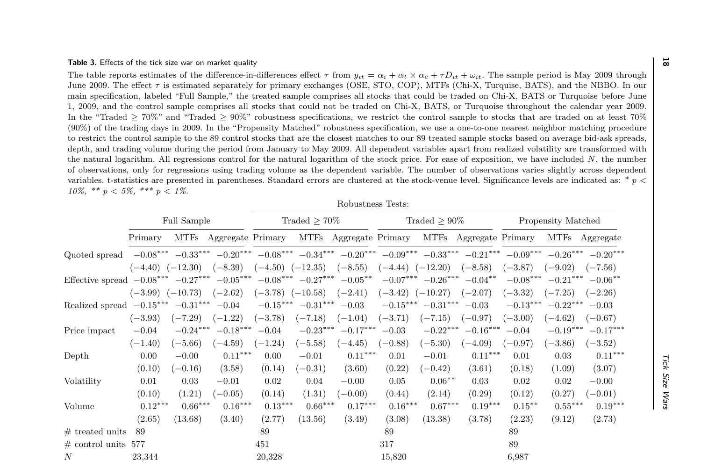<span id="page-17-0"></span>

| <b>Table 3.</b> Effects of the tick size war on market quality                                                                                                                                                                                                                                                                                                                                                                                                                                                                                                                                                                                                                                                                                                                                                                                                                                                                                                                                                                                                                                                                                                                                                                                                                                                                                                                                                                                                                                                                                                                                                                                                                                                                                                                                            |                                   |                         |                                                                                                                                                                   |                                                 |                         |                                   |                                                             |                         |                                   |                                      |                                      |                                   | $\overline{\alpha}$ |
|-----------------------------------------------------------------------------------------------------------------------------------------------------------------------------------------------------------------------------------------------------------------------------------------------------------------------------------------------------------------------------------------------------------------------------------------------------------------------------------------------------------------------------------------------------------------------------------------------------------------------------------------------------------------------------------------------------------------------------------------------------------------------------------------------------------------------------------------------------------------------------------------------------------------------------------------------------------------------------------------------------------------------------------------------------------------------------------------------------------------------------------------------------------------------------------------------------------------------------------------------------------------------------------------------------------------------------------------------------------------------------------------------------------------------------------------------------------------------------------------------------------------------------------------------------------------------------------------------------------------------------------------------------------------------------------------------------------------------------------------------------------------------------------------------------------|-----------------------------------|-------------------------|-------------------------------------------------------------------------------------------------------------------------------------------------------------------|-------------------------------------------------|-------------------------|-----------------------------------|-------------------------------------------------------------|-------------------------|-----------------------------------|--------------------------------------|--------------------------------------|-----------------------------------|---------------------|
| The table reports estimates of the difference-in-differences effect $\tau$ from $y_{it} = \alpha_i + \alpha_t \times \alpha_c + \tau D_{it} + \omega_{it}$ . The sample period is May 2009 through<br>June 2009. The effect $\tau$ is estimated separately for primary exchanges (OSE, STO, COP), MTFs (Chi-X, Turquise, BATS), and the NBBO. In our<br>main specification, labeled "Full Sample," the treated sample comprises all stocks that could be traded on Chi-X, BATS or Turquoise before June<br>1, 2009, and the control sample comprises all stocks that could not be traded on Chi-X, BATS, or Turquoise throughout the calendar year 2009.<br>In the "Traded $> 70\%$ " and "Traded $> 90\%$ " robustness specifications, we restrict the control sample to stocks that are traded on at least 70%<br>(90%) of the trading days in 2009. In the "Propensity Matched" robustness specification, we use a one-to-one nearest neighbor matching procedure<br>to restrict the control sample to the 89 control stocks that are the closest matches to our 89 treated sample stocks based on average bid-ask spreads.<br>depth, and trading volume during the period from January to May 2009. All dependent variables apart from realized volatility are transformed with<br>the natural logarithm. All regressions control for the natural logarithm of the stock price. For ease of exposition, we have included N, the number<br>of observations, only for regressions using trading volume as the dependent variable. The number of observations varies slightly across dependent<br>variables. t-statistics are presented in parentheses. Standard errors are clustered at the stock-venue level. Significance levels are indicated as: * $p \lt \theta$<br>10\%, ** p < 5\%, *** p < 1\%. |                                   |                         |                                                                                                                                                                   |                                                 |                         |                                   |                                                             |                         |                                   |                                      |                                      |                                   |                     |
|                                                                                                                                                                                                                                                                                                                                                                                                                                                                                                                                                                                                                                                                                                                                                                                                                                                                                                                                                                                                                                                                                                                                                                                                                                                                                                                                                                                                                                                                                                                                                                                                                                                                                                                                                                                                           |                                   |                         |                                                                                                                                                                   |                                                 |                         | Robustness Tests:                 |                                                             |                         |                                   |                                      |                                      |                                   |                     |
|                                                                                                                                                                                                                                                                                                                                                                                                                                                                                                                                                                                                                                                                                                                                                                                                                                                                                                                                                                                                                                                                                                                                                                                                                                                                                                                                                                                                                                                                                                                                                                                                                                                                                                                                                                                                           |                                   | <b>Full Sample</b>      |                                                                                                                                                                   |                                                 | Traded $\geq 70\%$      |                                   |                                                             | Traded $> 90\%$         |                                   |                                      | Propensity Matched                   |                                   |                     |
|                                                                                                                                                                                                                                                                                                                                                                                                                                                                                                                                                                                                                                                                                                                                                                                                                                                                                                                                                                                                                                                                                                                                                                                                                                                                                                                                                                                                                                                                                                                                                                                                                                                                                                                                                                                                           | Primary                           |                         | MTFs Aggregate Primary                                                                                                                                            |                                                 |                         | MTFs Aggregate Primary            |                                                             |                         | MTFs Aggregate Primary            |                                      |                                      | MTFs Aggregate                    |                     |
| Quoted spread                                                                                                                                                                                                                                                                                                                                                                                                                                                                                                                                                                                                                                                                                                                                                                                                                                                                                                                                                                                                                                                                                                                                                                                                                                                                                                                                                                                                                                                                                                                                                                                                                                                                                                                                                                                             | $(-4.40)$ $(-12.30)$              |                         | $-0.08^{***}\,\,-0.33^{***}\,\,-0.20^{***}\,\,-0.08^{***}\,\,-0.34^{***}\,\,-0.20^{***}\,\,-0.09^{***}\,\,-0.33^{***}\,\,-0.21^{***}\,\,-0.09^{***}$<br>$(-8.39)$ | $(-4.50)$ $(-12.35)$                            |                         | $(-8.55)$                         |                                                             |                         | $(-8.58)$                         |                                      | $-0.26***$                           | $-0.20***$                        |                     |
| Effective spread $-0.08***$ $-0.27***$ $-0.05***$ $-0.08***$ $-0.27***$ $-0.05**$                                                                                                                                                                                                                                                                                                                                                                                                                                                                                                                                                                                                                                                                                                                                                                                                                                                                                                                                                                                                                                                                                                                                                                                                                                                                                                                                                                                                                                                                                                                                                                                                                                                                                                                         |                                   |                         |                                                                                                                                                                   |                                                 |                         |                                   | $(-4.44)$ $(-12.20)$                                        | $-0.07***$ $-0.26***$   | $-0.04***$                        | $(-3.87)$<br>$-0.08***$              | $(-9.02)$<br>$-0.21***$              | $(-7.56)$<br>$-0.06***$           |                     |
| Realized spread $-0.15***$                                                                                                                                                                                                                                                                                                                                                                                                                                                                                                                                                                                                                                                                                                                                                                                                                                                                                                                                                                                                                                                                                                                                                                                                                                                                                                                                                                                                                                                                                                                                                                                                                                                                                                                                                                                | $(-3.99)$ $(-10.73)$<br>$(-3.93)$ | $-0.31***$<br>$(-7.29)$ | $(-2.62)$<br>$-0.04$<br>$(-1.22)$                                                                                                                                 | $(-3.78)$ $(-10.58)$<br>$-0.15***$<br>$(-3.78)$ | $-0.31***$<br>$(-7.18)$ | $(-2.41)$<br>$-0.03$<br>$(-1.04)$ | $(-3.42)$ $(-10.27)$<br>$-0.15^{\ast\ast\ast}$<br>$(-3.71)$ | $-0.31***$<br>$(-7.15)$ | $(-2.07)$<br>$-0.03$<br>$(-0.97)$ | $(-3.32)$<br>$-0.13***$<br>$(-3.00)$ | $(-7.25)$<br>$-0.22$ **<br>$(-4.62)$ | $(-2.26)$<br>$-0.03$<br>$(-0.67)$ |                     |
| Price impact                                                                                                                                                                                                                                                                                                                                                                                                                                                                                                                                                                                                                                                                                                                                                                                                                                                                                                                                                                                                                                                                                                                                                                                                                                                                                                                                                                                                                                                                                                                                                                                                                                                                                                                                                                                              | $-0.04$<br>$(-1.40)$              | $-0.24***$<br>$(-5.66)$ | $-0.18^{\ast\ast\ast}$<br>$(-4.59)$                                                                                                                               | $-0.04$<br>$(-1.24)$                            | $-0.23***$<br>$(-5.58)$ | $-0.17***$<br>$-4.45)$            | $-0.03$<br>$(-0.88)$                                        | $-0.22***$<br>$(-5.30)$ | $-0.16***$<br>$(-4.09)$           | $-0.04$<br>$(-0.97)$                 | $-0.19***$<br>$(-3.86)$              | $-0.17***$<br>$(-3.52)$           |                     |
| Depth                                                                                                                                                                                                                                                                                                                                                                                                                                                                                                                                                                                                                                                                                                                                                                                                                                                                                                                                                                                                                                                                                                                                                                                                                                                                                                                                                                                                                                                                                                                                                                                                                                                                                                                                                                                                     | 0.00<br>(0.10)                    | $-0.00$<br>$(-0.16)$    | $0.11***$<br>(3.58)                                                                                                                                               | 0.00<br>(0.14)                                  | $-0.01$<br>$(-0.31)$    | $0.11***$<br>(3.60)               | 0.01<br>(0.22)                                              | $-0.01$<br>$(-0.42)$    | $0.11***$<br>(3.61)               | 0.01<br>(0.18)                       | 0.03<br>(1.09)                       | $0.11***$<br>(3.07)               | lick                |
| Volatility                                                                                                                                                                                                                                                                                                                                                                                                                                                                                                                                                                                                                                                                                                                                                                                                                                                                                                                                                                                                                                                                                                                                                                                                                                                                                                                                                                                                                                                                                                                                                                                                                                                                                                                                                                                                | 0.01<br>(0.10)                    | 0.03<br>(1.21)          | $-0.01$<br>$(-0.05)$                                                                                                                                              | 0.02<br>(0.14)                                  | 0.04<br>(1.31)          | $-0.00$<br>$(-0.00)$              | 0.05<br>(0.44)                                              | $0.06***$<br>(2.14)     | 0.03<br>(0.29)                    | 0.02<br>(0.12)                       | 0.02<br>(0.27)                       | $-0.00$<br>$(-0.01)$              | Size                |
| Volume                                                                                                                                                                                                                                                                                                                                                                                                                                                                                                                                                                                                                                                                                                                                                                                                                                                                                                                                                                                                                                                                                                                                                                                                                                                                                                                                                                                                                                                                                                                                                                                                                                                                                                                                                                                                    | $0.12***$<br>(2.65)               | $0.66***$<br>(13.68)    | $0.16***$<br>(3.40)                                                                                                                                               | $0.13***$<br>(2.77)                             | $0.66***$<br>(13.56)    | $0.17***$<br>(3.49)               | $0.16***$<br>(3.08)                                         | $0.67***$<br>(13.38)    | $0.19***$<br>(3.78)               | $0.15***$<br>(2.23)                  | $0.55***$<br>(9.12)                  | $0.19***$<br>(2.73)               | <b>Wars</b>         |
| $#$ treated units                                                                                                                                                                                                                                                                                                                                                                                                                                                                                                                                                                                                                                                                                                                                                                                                                                                                                                                                                                                                                                                                                                                                                                                                                                                                                                                                                                                                                                                                                                                                                                                                                                                                                                                                                                                         | 89                                |                         |                                                                                                                                                                   | 89                                              |                         |                                   | 89                                                          |                         |                                   | 89                                   |                                      |                                   |                     |
| $\#$ control units 577                                                                                                                                                                                                                                                                                                                                                                                                                                                                                                                                                                                                                                                                                                                                                                                                                                                                                                                                                                                                                                                                                                                                                                                                                                                                                                                                                                                                                                                                                                                                                                                                                                                                                                                                                                                    |                                   |                         |                                                                                                                                                                   | 451                                             |                         |                                   | 317                                                         |                         |                                   | 89                                   |                                      |                                   |                     |
| $\boldsymbol{N}$                                                                                                                                                                                                                                                                                                                                                                                                                                                                                                                                                                                                                                                                                                                                                                                                                                                                                                                                                                                                                                                                                                                                                                                                                                                                                                                                                                                                                                                                                                                                                                                                                                                                                                                                                                                          | 23,344                            |                         |                                                                                                                                                                   | 20,328                                          |                         |                                   | 15,820                                                      |                         |                                   | 6,987                                |                                      |                                   |                     |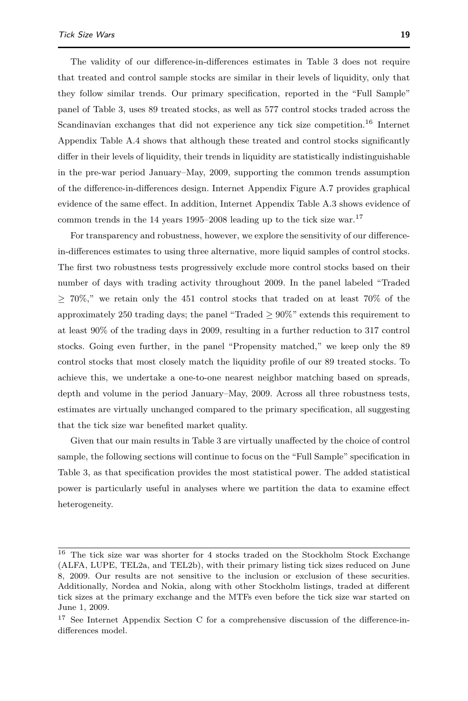The validity of our difference-in-differences estimates in Table [3](#page-17-0) does not require that treated and control sample stocks are similar in their levels of liquidity, only that they follow similar trends. Our primary specification, reported in the "Full Sample" panel of Table [3,](#page-17-0) uses 89 treated stocks, as well as 577 control stocks traded across the Scandinavian exchanges that did not experience any tick size competition.<sup>[16](#page-0-0)</sup> Internet Appendix Table A.4 shows that although these treated and control stocks significantly differ in their levels of liquidity, their trends in liquidity are statistically indistinguishable in the pre-war period January–May, 2009, supporting the common trends assumption of the difference-in-differences design. Internet Appendix Figure A.7 provides graphical evidence of the same effect. In addition, Internet Appendix Table A.3 shows evidence of common trends in the 14 years 1995–2008 leading up to the tick size war.<sup>[17](#page-0-0)</sup>

For transparency and robustness, however, we explore the sensitivity of our differencein-differences estimates to using three alternative, more liquid samples of control stocks. The first two robustness tests progressively exclude more control stocks based on their number of days with trading activity throughout 2009. In the panel labeled "Traded  $> 70\%,$ " we retain only the 451 control stocks that traded on at least 70\% of the approximately 250 trading days; the panel "Traded  $> 90\%$ " extends this requirement to at least 90% of the trading days in 2009, resulting in a further reduction to 317 control stocks. Going even further, in the panel "Propensity matched," we keep only the 89 control stocks that most closely match the liquidity profile of our 89 treated stocks. To achieve this, we undertake a one-to-one nearest neighbor matching based on spreads, depth and volume in the period January–May, 2009. Across all three robustness tests, estimates are virtually unchanged compared to the primary specification, all suggesting that the tick size war benefited market quality.

Given that our main results in Table [3](#page-17-0) are virtually unaffected by the choice of control sample, the following sections will continue to focus on the "Full Sample" specification in Table [3,](#page-17-0) as that specification provides the most statistical power. The added statistical power is particularly useful in analyses where we partition the data to examine effect heterogeneity.

 $^{16}\,$  The tick size war was shorter for 4 stocks traded on the Stockholm Stock Exchange (ALFA, LUPE, TEL2a, and TEL2b), with their primary listing tick sizes reduced on June 8, 2009. Our results are not sensitive to the inclusion or exclusion of these securities. Additionally, Nordea and Nokia, along with other Stockholm listings, traded at different tick sizes at the primary exchange and the MTFs even before the tick size war started on June 1, 2009.

<sup>&</sup>lt;sup>17</sup> See Internet Appendix Section C for a comprehensive discussion of the difference-indifferences model.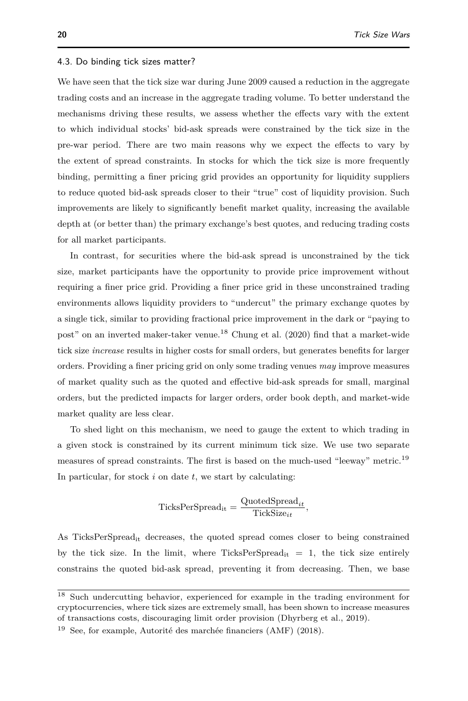#### <span id="page-19-1"></span><span id="page-19-0"></span>4.3. Do binding tick sizes matter?

We have seen that the tick size war during June 2009 caused a reduction in the aggregate trading costs and an increase in the aggregate trading volume. To better understand the mechanisms driving these results, we assess whether the effects vary with the extent to which individual stocks' bid-ask spreads were constrained by the tick size in the pre-war period. There are two main reasons why we expect the effects to vary by the extent of spread constraints. In stocks for which the tick size is more frequently binding, permitting a finer pricing grid provides an opportunity for liquidity suppliers to reduce quoted bid-ask spreads closer to their "true" cost of liquidity provision. Such improvements are likely to significantly benefit market quality, increasing the available depth at (or better than) the primary exchange's best quotes, and reducing trading costs for all market participants.

In contrast, for securities where the bid-ask spread is unconstrained by the tick size, market participants have the opportunity to provide price improvement without requiring a finer price grid. Providing a finer price grid in these unconstrained trading environments allows liquidity providers to "undercut" the primary exchange quotes by a single tick, similar to providing fractional price improvement in the dark or "paying to post" on an inverted maker-taker venue.[18](#page-0-0) [Chung et al.](#page-39-10) [\(2020\)](#page-39-10) find that a market-wide tick size *increase* results in higher costs for small orders, but generates benefits for larger orders. Providing a finer pricing grid on only some trading venues *may* improve measures of market quality such as the quoted and effective bid-ask spreads for small, marginal orders, but the predicted impacts for larger orders, order book depth, and market-wide market quality are less clear.

To shed light on this mechanism, we need to gauge the extent to which trading in a given stock is constrained by its current minimum tick size. We use two separate measures of spread constraints. The first is based on the much-used "leeway" metric.<sup>[19](#page-0-0)</sup> In particular, for stock *i* on date *t*, we start by calculating:

$$
\text{TicksPerSpread}_{it} = \frac{\text{QuotedSpread}_{it}}{\text{TickSize}_{it}},
$$

As TicksPerSpread<sub>it</sub> decreases, the quoted spread comes closer to being constrained by the tick size. In the limit, where TicksPerSpread<sub>it</sub>  $= 1$ , the tick size entirely constrains the quoted bid-ask spread, preventing it from decreasing. Then, we base

<sup>18</sup> Such undercutting behavior, experienced for example in the trading environment for cryptocurrencies, where tick sizes are extremely small, has been shown to increase measures of transactions costs, discouraging limit order provision [\(Dhyrberg et al., 2019\)](#page-40-20).

<sup>19</sup> See, for example, [Autorité des marchée financiers \(AMF\)](#page-39-14) [\(2018\)](#page-39-14).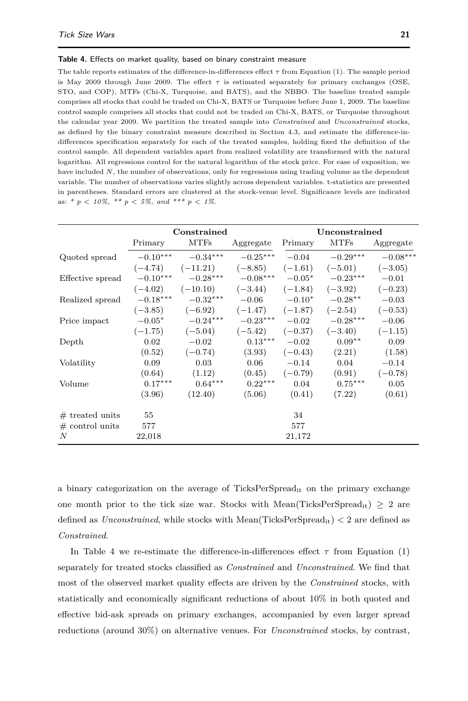#### <span id="page-20-0"></span>**Table 4.** Effects on market quality, based on binary constraint measure

The table reports estimates of the difference-in-differences effect *τ* from Equation [\(1\)](#page-15-0). The sample period is May 2009 through June 2009. The effect  $\tau$  is estimated separately for primary exchanges (OSE, STO, and COP), MTFs (Chi-X, Turquoise, and BATS), and the NBBO. The baseline treated sample comprises all stocks that could be traded on Chi-X, BATS or Turquoise before June 1, 2009. The baseline control sample comprises all stocks that could not be traded on Chi-X, BATS, or Turquoise throughout the calendar year 2009. We partition the treated sample into *Constrained* and *Unconstrained* stocks, as defined by the binary constraint measure described in Section [4.3,](#page-19-0) and estimate the difference-indifferences specification separately for each of the treated samples, holding fixed the definition of the control sample. All dependent variables apart from realized volatility are transformed with the natural logarithm. All regressions control for the natural logarithm of the stock price. For ease of exposition, we have included *N*, the number of observations, only for regressions using trading volume as the dependent variable. The number of observations varies slightly across dependent variables. t-statistics are presented in parentheses. Standard errors are clustered at the stock-venue level. Significance levels are indicated as: *\* p < 10%, \*\* p < 5%, and \*\*\* p < 1%*.

|                   |            | Constrained     |            | Unconstrained |             |            |  |  |
|-------------------|------------|-----------------|------------|---------------|-------------|------------|--|--|
|                   | Primary    | <b>MTFs</b>     | Aggregate  | Primary       | <b>MTFs</b> | Aggregate  |  |  |
| Quoted spread     | $-0.10***$ | $-0.34^{***}\,$ | $-0.25***$ | $-0.04$       | $-0.29***$  | $-0.08***$ |  |  |
|                   | $(-4.74)$  | $(-11.21)$      | $(-8.85)$  | $(-1.61)$     | $(-5.01)$   | $(-3.05)$  |  |  |
| Effective spread  | $-0.10***$ | $-0.28***$      | $-0.08***$ | $-0.05*$      | $-0.23***$  | $-0.01$    |  |  |
|                   | $(-4.02)$  | $(-10.10)$      | $(-3.44)$  | $(-1.84)$     | $(-3.92)$   | $(-0.23)$  |  |  |
| Realized spread   | $-0.18***$ | $-0.32***$      | $-0.06$    | $-0.10*$      | $-0.28**$   | $-0.03$    |  |  |
|                   | $(-3.85)$  | $(-6.92)$       | $(-1.47)$  | $(-1.87)$     | $(-2.54)$   | $(-0.53)$  |  |  |
| Price impact      | $-0.05*$   | $-0.24***$      | $-0.23***$ | $-0.02$       | $-0.28***$  | $-0.06$    |  |  |
|                   | $(-1.75)$  | $(-5.04)$       | $(-5.42)$  | $(-0.37)$     | $(-3.40)$   | $(-1.15)$  |  |  |
| Depth             | 0.02       | $-0.02$         | $0.13***$  | $-0.02$       | $0.09**$    | 0.09       |  |  |
|                   | (0.52)     | $(-0.74)$       | (3.93)     | $(-0.43)$     | (2.21)      | (1.58)     |  |  |
| Volatility        | 0.09       | 0.03            | 0.06       | $-0.14$       | 0.04        | $-0.14$    |  |  |
|                   | (0.64)     | (1.12)          | (0.45)     | $(-0.79)$     | (0.91)      | $(-0.78)$  |  |  |
| Volume            | $0.17***$  | $0.64***$       | $0.22***$  | 0.04          | $0.75***$   | 0.05       |  |  |
|                   | (3.96)     | (12.40)         | (5.06)     | (0.41)        | (7.22)      | (0.61)     |  |  |
| $#$ treated units | 55         |                 |            | 34            |             |            |  |  |
| $#$ control units | 577        |                 |            | 577           |             |            |  |  |
| N                 | 22,018     |                 |            | 21,172        |             |            |  |  |

a binary categorization on the average of TicksPerSpread<sub>it</sub> on the primary exchange one month prior to the tick size war. Stocks with Mean(TicksPerSpread<sub>it</sub>) > 2 are defined as *Unconstrained*, while stocks with Mean(TicksPerSpreadit) *<* 2 are defined as *Constrained*.

In Table [4](#page-20-0) we re-estimate the difference-in-differences effect  $\tau$  from Equation [\(1\)](#page-15-0) separately for treated stocks classified as *Constrained* and *Unconstrained*. We find that most of the observed market quality effects are driven by the *Constrained* stocks, with statistically and economically significant reductions of about 10% in both quoted and effective bid-ask spreads on primary exchanges, accompanied by even larger spread reductions (around 30%) on alternative venues. For *Unconstrained* stocks, by contrast,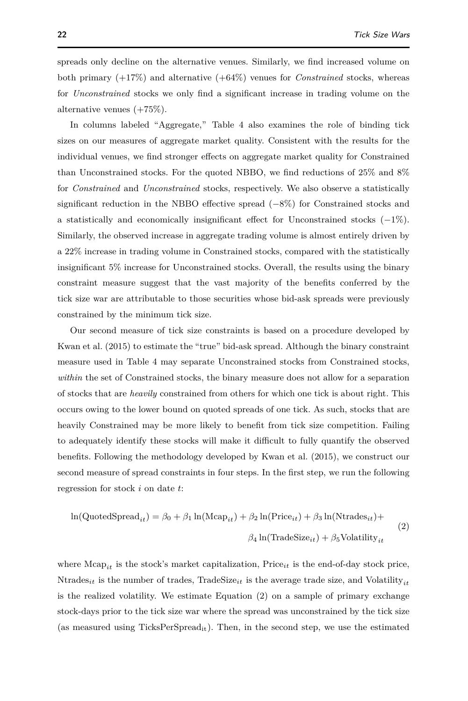spreads only decline on the alternative venues. Similarly, we find increased volume on both primary (+17%) and alternative (+64%) venues for *Constrained* stocks, whereas for *Unconstrained* stocks we only find a significant increase in trading volume on the alternative venues  $(+75\%)$ .

In columns labeled "Aggregate," Table [4](#page-20-0) also examines the role of binding tick sizes on our measures of aggregate market quality. Consistent with the results for the individual venues, we find stronger effects on aggregate market quality for Constrained than Unconstrained stocks. For the quoted NBBO, we find reductions of 25% and 8% for *Constrained* and *Unconstrained* stocks, respectively. We also observe a statistically significant reduction in the NBBO effective spread (−8%) for Constrained stocks and a statistically and economically insignificant effect for Unconstrained stocks (−1%). Similarly, the observed increase in aggregate trading volume is almost entirely driven by a 22% increase in trading volume in Constrained stocks, compared with the statistically insignificant 5% increase for Unconstrained stocks. Overall, the results using the binary constraint measure suggest that the vast majority of the benefits conferred by the tick size war are attributable to those securities whose bid-ask spreads were previously constrained by the minimum tick size.

Our second measure of tick size constraints is based on a procedure developed by [Kwan et al.](#page-40-0) [\(2015\)](#page-40-0) to estimate the "true" bid-ask spread. Although the binary constraint measure used in Table [4](#page-20-0) may separate Unconstrained stocks from Constrained stocks, *within* the set of Constrained stocks, the binary measure does not allow for a separation of stocks that are *heavily* constrained from others for which one tick is about right. This occurs owing to the lower bound on quoted spreads of one tick. As such, stocks that are heavily Constrained may be more likely to benefit from tick size competition. Failing to adequately identify these stocks will make it difficult to fully quantify the observed benefits. Following the methodology developed by [Kwan et al.](#page-40-0) [\(2015\)](#page-40-0), we construct our second measure of spread constraints in four steps. In the first step, we run the following regression for stock *i* on date *t*:

<span id="page-21-0"></span>
$$
\ln(\text{QuotedSpread}_{it}) = \beta_0 + \beta_1 \ln(\text{Mcap}_{it}) + \beta_2 \ln(\text{Price}_{it}) + \beta_3 \ln(\text{Ntrades}_{it}) +
$$
  

$$
\beta_4 \ln(\text{TradeSize}_{it}) + \beta_5 \text{Volatility}_{it}
$$
 (2)

where  $\text{Mean}_{it}$  is the stock's market capitalization,  $\text{Price}_{it}$  is the end-of-day stock price, Ntrades<sub>*it*</sub> is the number of trades, TradeSize<sub>*it*</sub> is the average trade size, and Volatility<sub>*it*</sub> is the realized volatility. We estimate Equation [\(2\)](#page-21-0) on a sample of primary exchange stock-days prior to the tick size war where the spread was unconstrained by the tick size (as measured using  $TicksPerSpread_{it}$ ). Then, in the second step, we use the estimated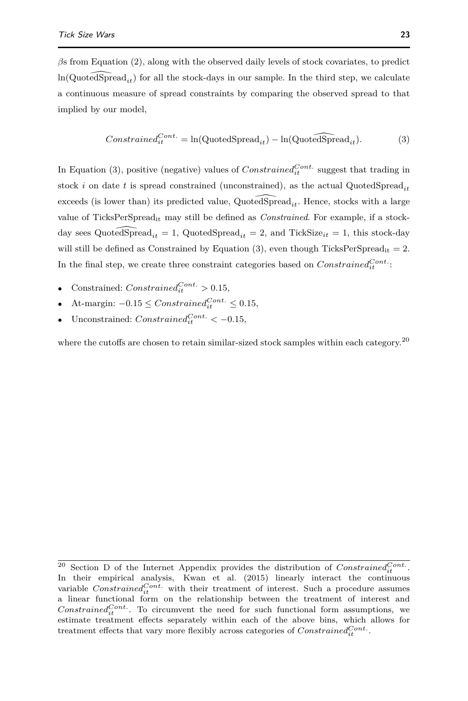*β*s from Equation [\(2\)](#page-21-0), along with the observed daily levels of stock covariates, to predict  $ln(QuotedSpread_{it})$  for all the stock-days in our sample. In the third step, we calculate a continuous measure of spread constraints by comparing the observed spread to that implied by our model,

<span id="page-22-0"></span>
$$
Constrained_{it}^{Cont.} = \ln(\text{QuotedSpread}_{it}) - \ln(\text{QuotedSpread}_{it}). \tag{3}
$$

In Equation [\(3\)](#page-22-0), positive (negative) values of  $Constrained_{it}^{Cont.}$  suggest that trading in stock *i* on date *t* is spread constrained (unconstrained), as the actual QuotedSpread<sub>*it*</sub> exceeds (is lower than) its predicted value,  $QuotedSpred_{it}$ . Hence, stocks with a large value of TicksPerSpreadit may still be defined as *Constrained*. For example, if a stockday sees QuotedSpread<sub>*it*</sub> = 1, QuotedSpread<sub>*it*</sub> = 2, and TickSize<sub>it</sub> = 1, this stock-day will still be defined as Constrained by Equation [\(3\)](#page-22-0), even though TicksPerSpread<sub>it</sub> = 2. In the final step, we create three constraint categories based on  $Constrained_{it}^{Cont.}$ .

- Constrained:  $Constrained_{it}^{Cont.} > 0.15$ ,
- At-margin:  $-0.15 \leq Constanted_{it}^{Cont.} \leq 0.15$ ,
- Unconstrained:  $Constrained_{it}^{Cont.} < -0.15$ ,

where the cutoffs are chosen to retain similar-sized stock samples within each category.<sup>[20](#page-0-0)</sup>

<sup>&</sup>lt;sup>20</sup> Section D of the Internet Appendix provides the distribution of  $Constrained_{it}^{Cont.}$ . In their empirical analysis, [Kwan et al.](#page-40-0) [\(2015\)](#page-40-0) linearly interact the continuous variable  $Constrained<sub>it</sub><sup>Cont</sup>$  with their treatment of interest. Such a procedure assumes a linear functional form on the relationship between the treatment of interest and *Constrained*<sup>*Cont*</sup>. To circumvent the need for such functional form assumptions, we estimate treatment effects separately within each of the above bins, which allows for treatment effects that vary more flexibly across categories of  $Constrained_{it}^{Cont.}$ .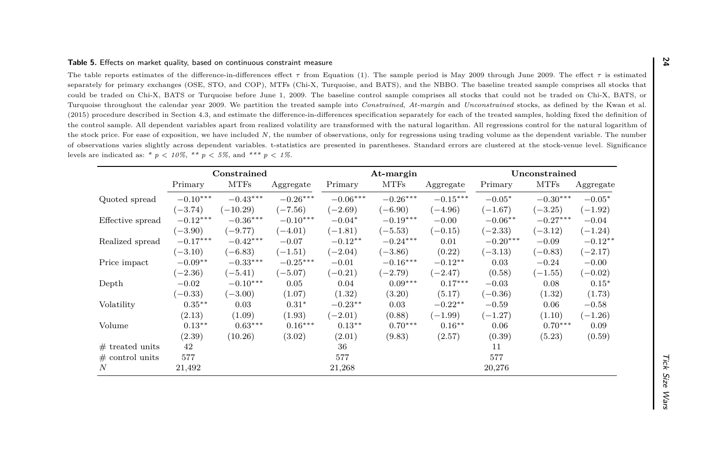<span id="page-23-0"></span>

| could be traded on Chi-X, BATS or Turquoise before June 1, 2009. The baseline control sample comprises all stocks that could not be traded on Chi-X, BATS, or<br>Turquoise throughout the calendar year 2009. We partition the treated sample into Constrained, At-margin and Unconstrained stocks, as defined by the Kwan et al.<br>(2015) procedure described in Section 4.3, and estimate the difference-in-differences specification separately for each of the treated samples, holding fixed the definition of<br>the control sample. All dependent variables apart from realized volatility are transformed with the natural logarithm. All regressions control for the natural logarithm of<br>the stock price. For ease of exposition, we have included N, the number of observations, only for regressions using trading volume as the dependent variable. The number |            |             |            |            |             |            |            |             |           |  |
|---------------------------------------------------------------------------------------------------------------------------------------------------------------------------------------------------------------------------------------------------------------------------------------------------------------------------------------------------------------------------------------------------------------------------------------------------------------------------------------------------------------------------------------------------------------------------------------------------------------------------------------------------------------------------------------------------------------------------------------------------------------------------------------------------------------------------------------------------------------------------------|------------|-------------|------------|------------|-------------|------------|------------|-------------|-----------|--|
| of observations varies slightly across dependent variables. t-statistics are presented in parentheses. Standard errors are clustered at the stock-venue level. Significance<br>levels are indicated as: * $p < 10\%$ , ** $p < 5\%$ , and *** $p < 1\%$ .<br>Constrained<br>Unconstrained<br>At-margin                                                                                                                                                                                                                                                                                                                                                                                                                                                                                                                                                                          |            |             |            |            |             |            |            |             |           |  |
|                                                                                                                                                                                                                                                                                                                                                                                                                                                                                                                                                                                                                                                                                                                                                                                                                                                                                 | Primary    | <b>MTFs</b> | Aggregate  | Primary    | <b>MTFs</b> | Aggregate  | Primary    | <b>MTFs</b> | Aggregate |  |
| Quoted spread                                                                                                                                                                                                                                                                                                                                                                                                                                                                                                                                                                                                                                                                                                                                                                                                                                                                   | $-0.10***$ | $-0.43***$  | $-0.26***$ | $-0.06***$ | $-0.26***$  | $-0.15***$ | $-0.05*$   | $-0.30***$  | $-0.05*$  |  |
|                                                                                                                                                                                                                                                                                                                                                                                                                                                                                                                                                                                                                                                                                                                                                                                                                                                                                 | $(-3.74)$  | $(-10.29)$  | $(-7.56)$  | $(-2.69)$  | $(-6.90)$   | $(-4.96)$  | $(-1.67)$  | $(-3.25)$   | $(-1.92)$ |  |
| Effective spread                                                                                                                                                                                                                                                                                                                                                                                                                                                                                                                                                                                                                                                                                                                                                                                                                                                                | $-0.12***$ | $-0.36***$  | $-0.10***$ | $-0.04*$   | $-0.19***$  | $-0.00$    | $-0.06**$  | $-0.27***$  | $-0.04$   |  |
|                                                                                                                                                                                                                                                                                                                                                                                                                                                                                                                                                                                                                                                                                                                                                                                                                                                                                 | $(-3.90)$  | $(-9.77)$   | $(-4.01)$  | $(-1.81)$  | $(-5.53)$   | $(-0.15)$  | $(-2.33)$  | $(-3.12)$   | $(-1.24)$ |  |
| Realized spread                                                                                                                                                                                                                                                                                                                                                                                                                                                                                                                                                                                                                                                                                                                                                                                                                                                                 | $-0.17***$ | $-0.42***$  | $-0.07$    | $-0.12**$  | $-0.24***$  | 0.01       | $-0.20***$ | $-0.09$     | $-0.12**$ |  |
|                                                                                                                                                                                                                                                                                                                                                                                                                                                                                                                                                                                                                                                                                                                                                                                                                                                                                 | $(-3.10)$  | $(-6.83)$   | $(-1.51)$  | $(-2.04)$  | $(-3.86)$   | (0.22)     | $(-3.13)$  | $(-0.83)$   | $(-2.17)$ |  |
| Price impact                                                                                                                                                                                                                                                                                                                                                                                                                                                                                                                                                                                                                                                                                                                                                                                                                                                                    | $-0.09**$  | $-0.33***$  | $-0.25***$ | $-0.01$    | $-0.16***$  | $-0.12**$  | 0.03       | $-0.24$     | $-0.00$   |  |
|                                                                                                                                                                                                                                                                                                                                                                                                                                                                                                                                                                                                                                                                                                                                                                                                                                                                                 | $(-2.36)$  | $(-5.41)$   | $(-5.07)$  | $(-0.21)$  | $(-2.79)$   | $(-2.47)$  | (0.58)     | $(-1.55)$   | $(-0.02)$ |  |
| Depth                                                                                                                                                                                                                                                                                                                                                                                                                                                                                                                                                                                                                                                                                                                                                                                                                                                                           | $-0.02$    | $-0.10***$  | 0.05       | 0.04       | $0.09***$   | $0.17***$  | $-0.03$    | 0.08        | $0.15*$   |  |
|                                                                                                                                                                                                                                                                                                                                                                                                                                                                                                                                                                                                                                                                                                                                                                                                                                                                                 | $(-0.33)$  | $(-3.00)$   | (1.07)     | (1.32)     | (3.20)      | (5.17)     | $(-0.36)$  | (1.32)      | (1.73)    |  |
| Volatility                                                                                                                                                                                                                                                                                                                                                                                                                                                                                                                                                                                                                                                                                                                                                                                                                                                                      | $0.35***$  | 0.03        | $0.31*$    | $-0.23***$ | 0.03        | $-0.22$ ** | $-0.59$    | 0.06        | $-0.58$   |  |
|                                                                                                                                                                                                                                                                                                                                                                                                                                                                                                                                                                                                                                                                                                                                                                                                                                                                                 | (2.13)     | (1.09)      | (1.93)     | $(-2.01)$  | (0.88)      | $(-1.99)$  | $(-1.27)$  | (1.10)      | $(-1.26)$ |  |
| Volume                                                                                                                                                                                                                                                                                                                                                                                                                                                                                                                                                                                                                                                                                                                                                                                                                                                                          | $0.13**$   | $0.63***$   | $0.16***$  | $0.13**$   | $0.70***$   | $0.16***$  | 0.06       | $0.70***$   | 0.09      |  |
|                                                                                                                                                                                                                                                                                                                                                                                                                                                                                                                                                                                                                                                                                                                                                                                                                                                                                 | (2.39)     | (10.26)     | (3.02)     | (2.01)     | (9.83)      | (2.57)     | (0.39)     | (5.23)      | (0.59)    |  |
| $#$ treated units                                                                                                                                                                                                                                                                                                                                                                                                                                                                                                                                                                                                                                                                                                                                                                                                                                                               | 42         |             |            | 36         |             |            | 11         |             |           |  |
| $\#$ control units                                                                                                                                                                                                                                                                                                                                                                                                                                                                                                                                                                                                                                                                                                                                                                                                                                                              | 577        |             |            | 577        |             |            | 577        |             |           |  |
| $\boldsymbol{N}$                                                                                                                                                                                                                                                                                                                                                                                                                                                                                                                                                                                                                                                                                                                                                                                                                                                                | 21,492     |             |            | 21,268     |             |            | 20,276     |             |           |  |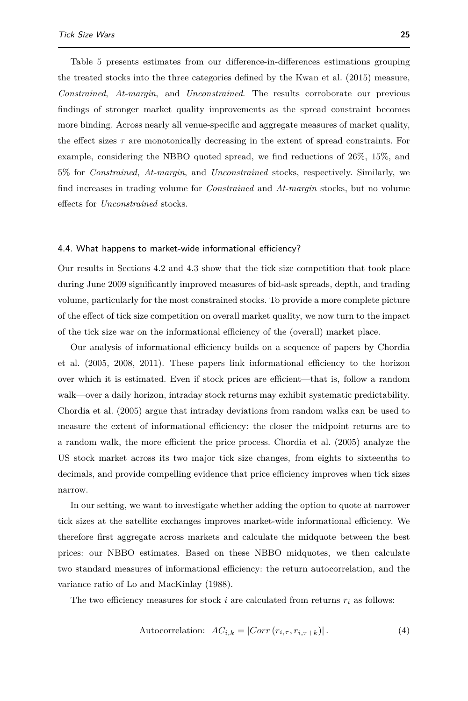Table [5](#page-23-0) presents estimates from our difference-in-differences estimations grouping the treated stocks into the three categories defined by the [Kwan et al.](#page-40-0) [\(2015\)](#page-40-0) measure, *Constrained*, *At-margin*, and *Unconstrained*. The results corroborate our previous findings of stronger market quality improvements as the spread constraint becomes more binding. Across nearly all venue-specific and aggregate measures of market quality, the effect sizes *τ* are monotonically decreasing in the extent of spread constraints. For example, considering the NBBO quoted spread, we find reductions of 26%, 15%, and 5% for *Constrained*, *At-margin*, and *Unconstrained* stocks, respectively. Similarly, we find increases in trading volume for *Constrained* and *At-margin* stocks, but no volume effects for *Unconstrained* stocks.

#### 4.4. What happens to market-wide informational efficiency?

Our results in Sections [4.2](#page-13-0) and [4.3](#page-19-0) show that the tick size competition that took place during June 2009 significantly improved measures of bid-ask spreads, depth, and trading volume, particularly for the most constrained stocks. To provide a more complete picture of the effect of tick size competition on overall market quality, we now turn to the impact of the tick size war on the informational efficiency of the (overall) market place.

Our analysis of informational efficiency builds on a sequence of papers by [Chordia](#page-39-15) [et al.](#page-39-15) [\(2005,](#page-39-15) [2008,](#page-39-16) [2011\)](#page-39-17). These papers link informational efficiency to the horizon over which it is estimated. Even if stock prices are efficient—that is, follow a random walk—over a daily horizon, intraday stock returns may exhibit systematic predictability. [Chordia et al.](#page-39-15) [\(2005\)](#page-39-15) argue that intraday deviations from random walks can be used to measure the extent of informational efficiency: the closer the midpoint returns are to a random walk, the more efficient the price process. [Chordia et al.](#page-39-15) [\(2005\)](#page-39-15) analyze the US stock market across its two major tick size changes, from eights to sixteenths to decimals, and provide compelling evidence that price efficiency improves when tick sizes narrow.

In our setting, we want to investigate whether adding the option to quote at narrower tick sizes at the satellite exchanges improves market-wide informational efficiency. We therefore first aggregate across markets and calculate the midquote between the best prices: our NBBO estimates. Based on these NBBO midquotes, we then calculate two standard measures of informational efficiency: the return autocorrelation, and the variance ratio of [Lo and MacKinlay](#page-40-22) [\(1988\)](#page-40-22).

The two efficiency measures for stock  $i$  are calculated from returns  $r_i$  as follows:

<span id="page-24-0"></span>
$$
Autocorrelation: AC_{i,k} = |Corr(r_{i,\tau}, r_{i,\tau+k})|.
$$
\n(4)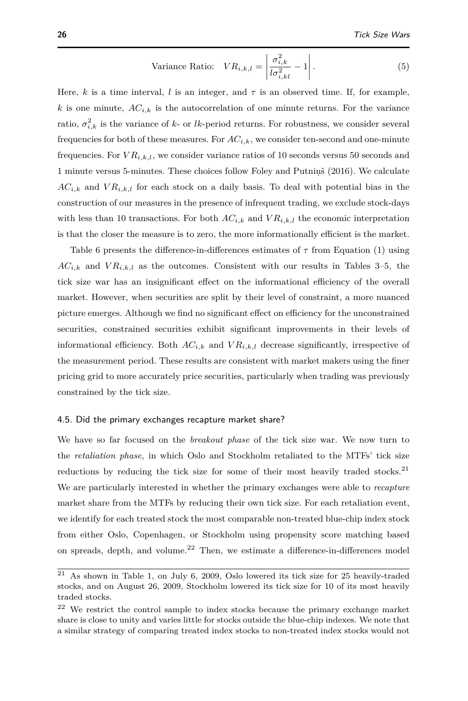<span id="page-25-1"></span>Variance Ratio: 
$$
VR_{i,k,l} = \left| \frac{\sigma_{i,k}^2}{l\sigma_{i,kl}^2} - 1 \right|.
$$
 (5)

Here, *k* is a time interval, *l* is an integer, and  $\tau$  is an observed time. If, for example, *k* is one minute,  $AC_{i,k}$  is the autocorrelation of one minute returns. For the variance ratio,  $\sigma_{i,k}^2$  is the variance of *k*- or *lk*-period returns. For robustness, we consider several frequencies for both of these measures. For  $AC_{i,k}$ , we consider ten-second and one-minute frequencies. For  $VR_{i,k,l}$ , we consider variance ratios of 10 seconds versus 50 seconds and 1 minute versus 5-minutes. These choices follow Foley and Putnins [\(2016\)](#page-40-1). We calculate  $AC_{i,k}$  and  $VR_{i,k,l}$  for each stock on a daily basis. To deal with potential bias in the construction of our measures in the presence of infrequent trading, we exclude stock-days with less than 10 transactions. For both  $AC_{i,k}$  and  $VR_{i,k,l}$  the economic interpretation is that the closer the measure is to zero, the more informationally efficient is the market.

Table [6](#page-26-0) presents the difference-in-differences estimates of  $\tau$  from Equation [\(1\)](#page-15-0) using  $AC_{i,k}$  and  $VR_{i,k,l}$  as the outcomes. Consistent with our results in Tables [3](#page-17-0)[–5,](#page-23-0) the tick size war has an insignificant effect on the informational efficiency of the overall market. However, when securities are split by their level of constraint, a more nuanced picture emerges. Although we find no significant effect on efficiency for the unconstrained securities, constrained securities exhibit significant improvements in their levels of informational efficiency. Both  $AC_{i,k}$  and  $VR_{i,k,l}$  decrease significantly, irrespective of the measurement period. These results are consistent with market makers using the finer pricing grid to more accurately price securities, particularly when trading was previously constrained by the tick size.

#### <span id="page-25-0"></span>4.5. Did the primary exchanges recapture market share?

We have so far focused on the *breakout phase* of the tick size war. We now turn to the *retaliation phase*, in which Oslo and Stockholm retaliated to the MTFs' tick size reductions by reducing the tick size for some of their most heavily traded stocks.<sup>[21](#page-0-0)</sup> We are particularly interested in whether the primary exchanges were able to *recapture* market share from the MTFs by reducing their own tick size. For each retaliation event, we identify for each treated stock the most comparable non-treated blue-chip index stock from either Oslo, Copenhagen, or Stockholm using propensity score matching based on spreads, depth, and volume.<sup>[22](#page-0-0)</sup> Then, we estimate a difference-in-differences model

 $^\mathrm{21}$  As shown in Table [1,](#page-6-0) on July 6, 2009, Oslo lowered its tick size for 25 heavily-traded stocks, and on August 26, 2009, Stockholm lowered its tick size for 10 of its most heavily traded stocks.

<sup>22</sup> We restrict the control sample to index stocks because the primary exchange market share is close to unity and varies little for stocks outside the blue-chip indexes. We note that a similar strategy of comparing treated index stocks to non-treated index stocks would not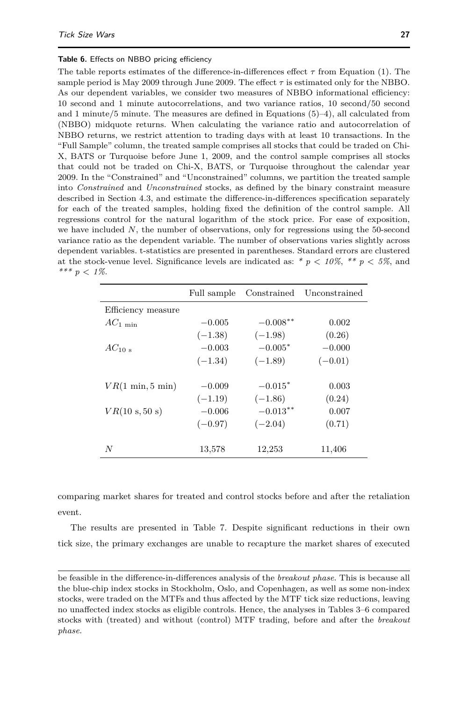### <span id="page-26-0"></span>**Table 6.** Effects on NBBO pricing efficiency

The table reports estimates of the difference-in-differences effect  $\tau$  from Equation [\(1\)](#page-15-0). The sample period is May 2009 through June 2009. The effect  $\tau$  is estimated only for the NBBO. As our dependent variables, we consider two measures of NBBO informational efficiency: 10 second and 1 minute autocorrelations, and two variance ratios, 10 second/50 second and 1 minute/5 minute. The measures are defined in Equations [\(5\)](#page-25-1)[–4\)](#page-24-0), all calculated from (NBBO) midquote returns. When calculating the variance ratio and autocorrelation of NBBO returns, we restrict attention to trading days with at least 10 transactions. In the "Full Sample" column, the treated sample comprises all stocks that could be traded on Chi-X, BATS or Turquoise before June 1, 2009, and the control sample comprises all stocks that could not be traded on Chi-X, BATS, or Turquoise throughout the calendar year 2009. In the "Constrained" and "Unconstrained" columns, we partition the treated sample into *Constrained* and *Unconstrained* stocks, as defined by the binary constraint measure described in Section [4.3,](#page-19-0) and estimate the difference-in-differences specification separately for each of the treated samples, holding fixed the definition of the control sample. All regressions control for the natural logarithm of the stock price. For ease of exposition, we have included *N*, the number of observations, only for regressions using the 50-second variance ratio as the dependent variable. The number of observations varies slightly across dependent variables. t-statistics are presented in parentheses. Standard errors are clustered at the stock-venue level. Significance levels are indicated as:  $* p < 10\%$ ,  $** p < 5\%$ , and *\*\*\* p < 1%*.

|                                    | Full sample |             | Constrained Unconstrained |
|------------------------------------|-------------|-------------|---------------------------|
| Efficiency measure                 |             |             |                           |
| $AC_{1 \text{ min}}$               | $-0.005$    | $-0.008***$ | 0.002                     |
|                                    | $(-1.38)$   | $(-1.98)$   | (0.26)                    |
| $AC_{10}$                          | $-0.003$    | $-0.005*$   | $-0.000$                  |
|                                    | $(-1.34)$   | $(-1.89)$   | $(-0.01)$                 |
|                                    |             |             |                           |
| $VR(1 \text{ min}, 5 \text{ min})$ | $-0.009$    | $-0.015*$   | 0.003                     |
|                                    | $(-1.19)$   | $(-1.86)$   | (0.24)                    |
| $VR(10 \text{ s}, 50 \text{ s})$   | $-0.006$    | $-0.013***$ | 0.007                     |
|                                    | $(-0.97)$   | $(-2.04)$   | (0.71)                    |
|                                    |             |             |                           |
| N                                  | 13,578      | 12,253      | 11,406                    |

comparing market shares for treated and control stocks before and after the retaliation event.

The results are presented in Table [7.](#page-28-0) Despite significant reductions in their own tick size, the primary exchanges are unable to recapture the market shares of executed

be feasible in the difference-in-differences analysis of the *breakout phase*. This is because all the blue-chip index stocks in Stockholm, Oslo, and Copenhagen, as well as some non-index stocks, were traded on the MTFs and thus affected by the MTF tick size reductions, leaving no unaffected index stocks as eligible controls. Hence, the analyses in Tables [3–](#page-17-0)[6](#page-26-0) compared stocks with (treated) and without (control) MTF trading, before and after the *breakout phase*.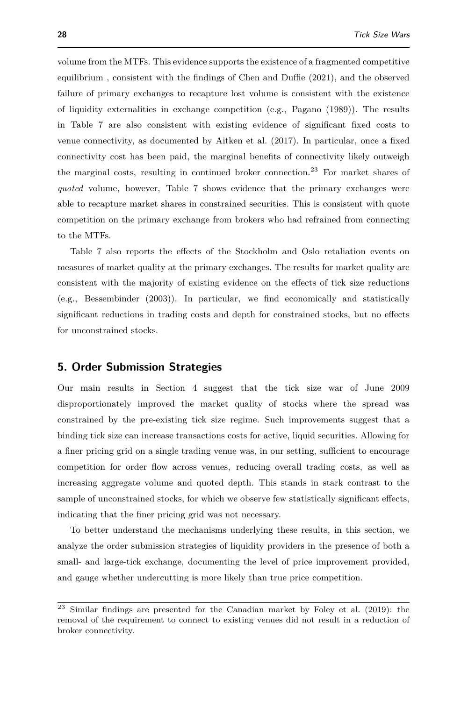volume from the MTFs. This evidence supports the existence of a fragmented competitive equilibrium , consistent with the findings of [Chen and Duffie](#page-39-4) [\(2021\)](#page-39-4), and the observed failure of primary exchanges to recapture lost volume is consistent with the existence of liquidity externalities in exchange competition (e.g., [Pagano](#page-40-23) [\(1989\)](#page-40-23)). The results in Table [7](#page-28-0) are also consistent with existing evidence of significant fixed costs to venue connectivity, as documented by [Aitken et al.](#page-39-18) [\(2017\)](#page-39-18). In particular, once a fixed connectivity cost has been paid, the marginal benefits of connectivity likely outweigh the marginal costs, resulting in continued broker connection.<sup>[23](#page-0-0)</sup> For market shares of *quoted* volume, however, Table [7](#page-28-0) shows evidence that the primary exchanges were able to recapture market shares in constrained securities. This is consistent with quote competition on the primary exchange from brokers who had refrained from connecting to the MTFs.

Table [7](#page-28-0) also reports the effects of the Stockholm and Oslo retaliation events on measures of market quality at the primary exchanges. The results for market quality are consistent with the majority of existing evidence on the effects of tick size reductions (e.g., [Bessembinder](#page-39-7) [\(2003\)](#page-39-7)). In particular, we find economically and statistically significant reductions in trading costs and depth for constrained stocks, but no effects for unconstrained stocks.

# <span id="page-27-0"></span>**5. Order Submission Strategies**

Our main results in Section [4](#page-12-0) suggest that the tick size war of June 2009 disproportionately improved the market quality of stocks where the spread was constrained by the pre-existing tick size regime. Such improvements suggest that a binding tick size can increase transactions costs for active, liquid securities. Allowing for a finer pricing grid on a single trading venue was, in our setting, sufficient to encourage competition for order flow across venues, reducing overall trading costs, as well as increasing aggregate volume and quoted depth. This stands in stark contrast to the sample of unconstrained stocks, for which we observe few statistically significant effects, indicating that the finer pricing grid was not necessary.

To better understand the mechanisms underlying these results, in this section, we analyze the order submission strategies of liquidity providers in the presence of both a small- and large-tick exchange, documenting the level of price improvement provided, and gauge whether undercutting is more likely than true price competition.

 $23$  Similar findings are presented for the Canadian market by [Foley et al.](#page-40-19) [\(2019\)](#page-40-19): the removal of the requirement to connect to existing venues did not result in a reduction of broker connectivity.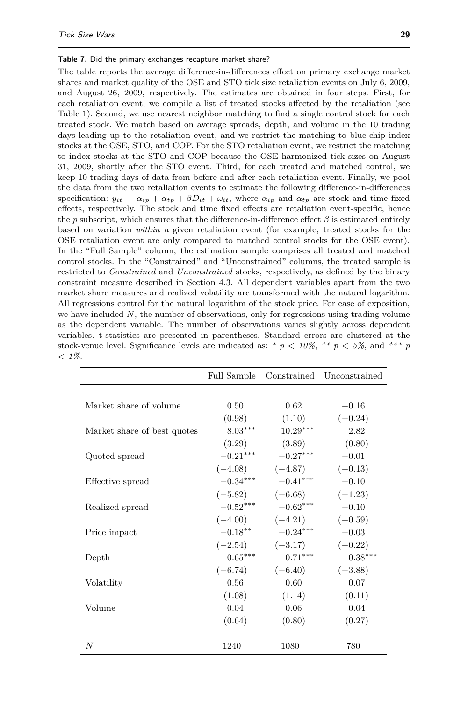#### <span id="page-28-0"></span>**Table 7.** Did the primary exchanges recapture market share?

The table reports the average difference-in-differences effect on primary exchange market shares and market quality of the OSE and STO tick size retaliation events on July 6, 2009, and August 26, 2009, respectively. The estimates are obtained in four steps. First, for each retaliation event, we compile a list of treated stocks affected by the retaliation (see Table [1\)](#page-6-0). Second, we use nearest neighbor matching to find a single control stock for each treated stock. We match based on average spreads, depth, and volume in the 10 trading days leading up to the retaliation event, and we restrict the matching to blue-chip index stocks at the OSE, STO, and COP. For the STO retaliation event, we restrict the matching to index stocks at the STO and COP because the OSE harmonized tick sizes on August 31, 2009, shortly after the STO event. Third, for each treated and matched control, we keep 10 trading days of data from before and after each retaliation event. Finally, we pool the data from the two retaliation events to estimate the following difference-in-differences specification:  $y_{it} = \alpha_{ip} + \alpha_{tp} + \beta D_{it} + \omega_{it}$ , where  $\alpha_{ip}$  and  $\alpha_{tp}$  are stock and time fixed effects, respectively. The stock and time fixed effects are retaliation event-specific, hence the *p* subscript, which ensures that the difference-in-difference effect *β* is estimated entirely based on variation *within* a given retaliation event (for example, treated stocks for the OSE retaliation event are only compared to matched control stocks for the OSE event). In the "Full Sample" column, the estimation sample comprises all treated and matched control stocks. In the "Constrained" and "Unconstrained" columns, the treated sample is restricted to *Constrained* and *Unconstrained* stocks, respectively, as defined by the binary constraint measure described in Section [4.3.](#page-19-0) All dependent variables apart from the two market share measures and realized volatility are transformed with the natural logarithm. All regressions control for the natural logarithm of the stock price. For ease of exposition, we have included *N*, the number of observations, only for regressions using trading volume as the dependent variable. The number of observations varies slightly across dependent variables. t-statistics are presented in parentheses. Standard errors are clustered at the stock-venue level. Significance levels are indicated as:  $* p < 10\%$ ,  $** p < 5\%$ , and  $*** p$ *< 1%*.

|                             | Full Sample | Constrained         | Unconstrained |
|-----------------------------|-------------|---------------------|---------------|
|                             |             |                     |               |
| Market share of volume      | 0.50        | 0.62                | $-0.16$       |
|                             | (0.98)      | (1.10)              | $(-0.24)$     |
| Market share of best quotes | $8.03***$   | $10.29***$          | 2.82          |
|                             | (3.29)      | (3.89)              | (0.80)        |
| Quoted spread               | $-0.21***$  | $-0.27***$          | $-0.01$       |
|                             |             | $(-4.08)$ $(-4.87)$ | $(-0.13)$     |
| Effective spread            | $-0.34***$  | $-0.41***$          | $-0.10$       |
|                             |             | $(-5.82)$ $(-6.68)$ | $(-1.23)$     |
| Realized spread             | $-0.52***$  | $-0.62***$          | $-0.10$       |
|                             | $(-4.00)$   | $(-4.21)$           | $(-0.59)$     |
| Price impact                | $-0.18***$  | $-0.24***$          | $-0.03$       |
|                             | $(-2.54)$   | $(-3.17)$           | $(-0.22)$     |
| Depth                       | $-0.65***$  | $-0.71***$          | $-0.38***$    |
|                             | $(-6.74)$   | $(-6.40)$           | $(-3.88)$     |
| Volatility                  | 0.56        | 0.60                | 0.07          |
|                             | (1.08)      | (1.14)              | (0.11)        |
| Volume                      | 0.04        | 0.06                | 0.04          |
|                             | (0.64)      | (0.80)              | (0.27)        |
|                             |             |                     |               |
| N                           | 1240        | 1080                | 780           |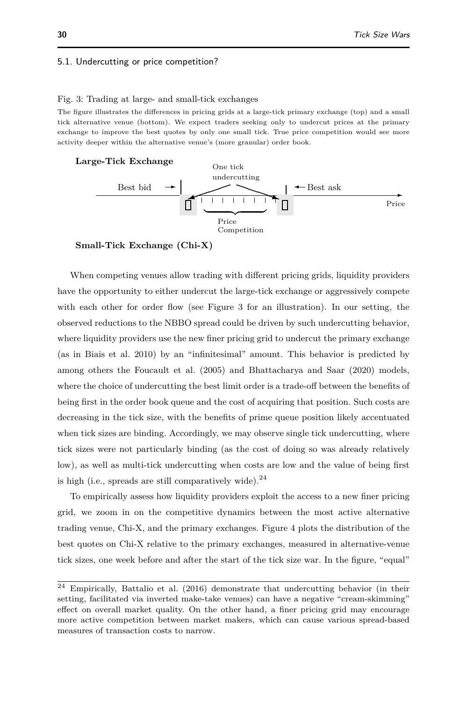### <span id="page-29-1"></span>5.1. Undercutting or price competition?

#### <span id="page-29-0"></span>Fig. 3: Trading at large- and small-tick exchanges

The figure illustrates the differences in pricing grids at a large-tick primary exchange (top) and a small tick alternative venue (bottom). We expect traders seeking only to undercut prices at the primary exchange to improve the best quotes by only one small tick. True price competition would see more activity deeper within the alternative venue's (more granular) order book.

#### **Large-Tick Exchange**



**Small-Tick Exchange (Chi-X)**

When competing venues allow trading with different pricing grids, liquidity providers have the opportunity to either undercut the large-tick exchange or aggressively compete with each other for order flow (see Figure [3](#page-29-0) for an illustration). In our setting, the observed reductions to the NBBO spread could be driven by such undercutting behavior, where liquidity providers use the new finer pricing grid to undercut the primary exchange (as in [Biais et al. 2010\)](#page-39-19) by an "infinitesimal" amount. This behavior is predicted by among others the [Foucault et al.](#page-40-24) [\(2005\)](#page-40-24) and [Bhattacharya and Saar](#page-39-20) [\(2020\)](#page-39-20) models, where the choice of undercutting the best limit order is a trade-off between the benefits of being first in the order book queue and the cost of acquiring that position. Such costs are decreasing in the tick size, with the benefits of prime queue position likely accentuated when tick sizes are binding. Accordingly, we may observe single tick undercutting, where tick sizes were not particularly binding (as the cost of doing so was already relatively low), as well as multi-tick undercutting when costs are low and the value of being first is high (i.e., spreads are still comparatively wide). $^{24}$  $^{24}$  $^{24}$ 

To empirically assess how liquidity providers exploit the access to a new finer pricing grid, we zoom in on the competitive dynamics between the most active alternative trading venue, Chi-X, and the primary exchanges. Figure [4](#page-31-0) plots the distribution of the best quotes on Chi-X relative to the primary exchanges, measured in alternative-venue tick sizes, one week before and after the start of the tick size war. In the figure, "equal"

<sup>24</sup> Empirically, [Battalio et al.](#page-39-5) [\(2016\)](#page-39-5) demonstrate that undercutting behavior (in their setting, facilitated via inverted make-take venues) can have a negative "cream-skimming" effect on overall market quality. On the other hand, a finer pricing grid may encourage more active competition between market makers, which can cause various spread-based measures of transaction costs to narrow.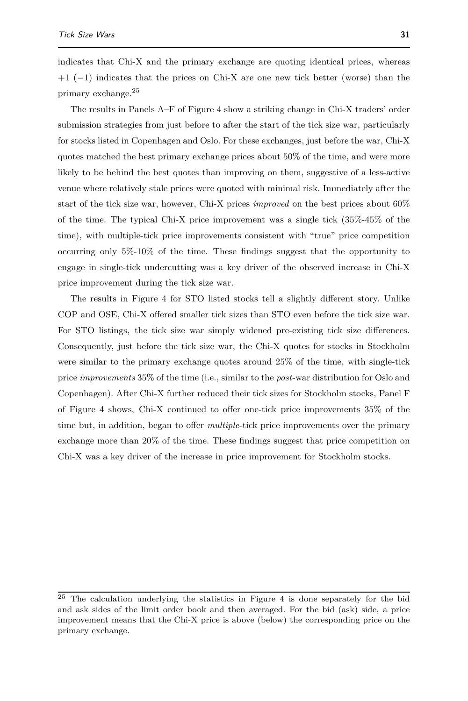indicates that Chi-X and the primary exchange are quoting identical prices, whereas +1 (−1) indicates that the prices on Chi-X are one new tick better (worse) than the primary exchange.[25](#page-0-0)

The results in Panels A–F of Figure [4](#page-31-0) show a striking change in Chi-X traders' order submission strategies from just before to after the start of the tick size war, particularly for stocks listed in Copenhagen and Oslo. For these exchanges, just before the war, Chi-X quotes matched the best primary exchange prices about 50% of the time, and were more likely to be behind the best quotes than improving on them, suggestive of a less-active venue where relatively stale prices were quoted with minimal risk. Immediately after the start of the tick size war, however, Chi-X prices *improved* on the best prices about 60% of the time. The typical Chi-X price improvement was a single tick (35%-45% of the time), with multiple-tick price improvements consistent with "true" price competition occurring only 5%-10% of the time. These findings suggest that the opportunity to engage in single-tick undercutting was a key driver of the observed increase in Chi-X price improvement during the tick size war.

The results in Figure [4](#page-31-0) for STO listed stocks tell a slightly different story. Unlike COP and OSE, Chi-X offered smaller tick sizes than STO even before the tick size war. For STO listings, the tick size war simply widened pre-existing tick size differences. Consequently, just before the tick size war, the Chi-X quotes for stocks in Stockholm were similar to the primary exchange quotes around 25% of the time, with single-tick price *improvements* 35% of the time (i.e., similar to the *post*-war distribution for Oslo and Copenhagen). After Chi-X further reduced their tick sizes for Stockholm stocks, Panel F of Figure [4](#page-31-0) shows, Chi-X continued to offer one-tick price improvements 35% of the time but, in addition, began to offer *multiple*-tick price improvements over the primary exchange more than 20% of the time. These findings suggest that price competition on Chi-X was a key driver of the increase in price improvement for Stockholm stocks.

<sup>25</sup> The calculation underlying the statistics in Figure [4](#page-31-0) is done separately for the bid and ask sides of the limit order book and then averaged. For the bid (ask) side, a price improvement means that the Chi-X price is above (below) the corresponding price on the primary exchange.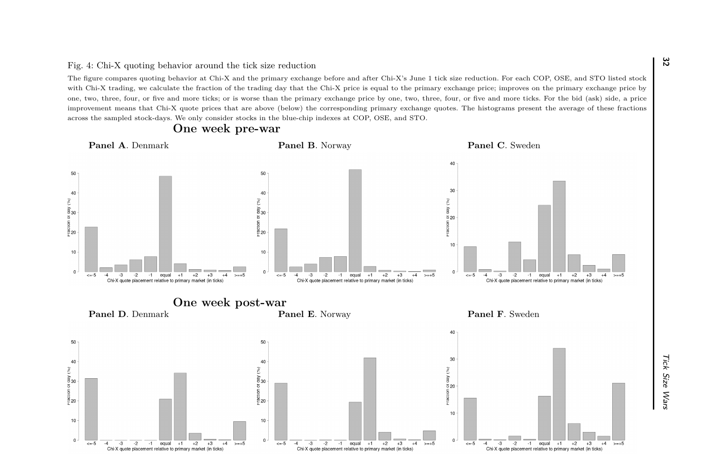<span id="page-31-0"></span>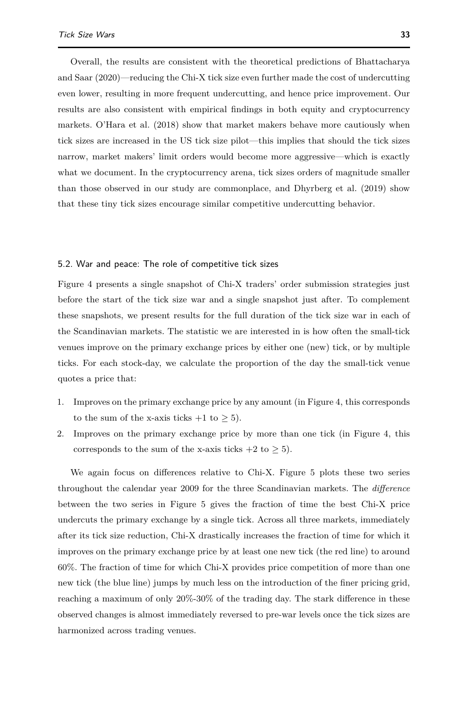Overall, the results are consistent with the theoretical predictions of [Bhattacharya](#page-39-20) [and Saar](#page-39-20) [\(2020\)](#page-39-20)—reducing the Chi-X tick size even further made the cost of undercutting even lower, resulting in more frequent undercutting, and hence price improvement. Our results are also consistent with empirical findings in both equity and cryptocurrency markets. [O'Hara et al.](#page-40-10) [\(2018\)](#page-40-10) show that market makers behave more cautiously when tick sizes are increased in the US tick size pilot—this implies that should the tick sizes narrow, market makers' limit orders would become more aggressive—which is exactly what we document. In the cryptocurrency arena, tick sizes orders of magnitude smaller than those observed in our study are commonplace, and [Dhyrberg et al.](#page-40-20) [\(2019\)](#page-40-20) show that these tiny tick sizes encourage similar competitive undercutting behavior.

### 5.2. War and peace: The role of competitive tick sizes

Figure [4](#page-31-0) presents a single snapshot of Chi-X traders' order submission strategies just before the start of the tick size war and a single snapshot just after. To complement these snapshots, we present results for the full duration of the tick size war in each of the Scandinavian markets. The statistic we are interested in is how often the small-tick venues improve on the primary exchange prices by either one (new) tick, or by multiple ticks. For each stock-day, we calculate the proportion of the day the small-tick venue quotes a price that:

- 1. Improves on the primary exchange price by any amount (in Figure [4,](#page-31-0) this corresponds to the sum of the x-axis ticks  $+1$  to  $\geq 5$ ).
- 2. Improves on the primary exchange price by more than one tick (in Figure [4,](#page-31-0) this corresponds to the sum of the x-axis ticks  $+2$  to  $\geq 5$ ).

We again focus on differences relative to Chi-X. Figure [5](#page-33-0) plots these two series throughout the calendar year 2009 for the three Scandinavian markets. The *difference* between the two series in Figure [5](#page-33-0) gives the fraction of time the best Chi-X price undercuts the primary exchange by a single tick. Across all three markets, immediately after its tick size reduction, Chi-X drastically increases the fraction of time for which it improves on the primary exchange price by at least one new tick (the red line) to around 60%. The fraction of time for which Chi-X provides price competition of more than one new tick (the blue line) jumps by much less on the introduction of the finer pricing grid, reaching a maximum of only 20%-30% of the trading day. The stark difference in these observed changes is almost immediately reversed to pre-war levels once the tick sizes are harmonized across trading venues.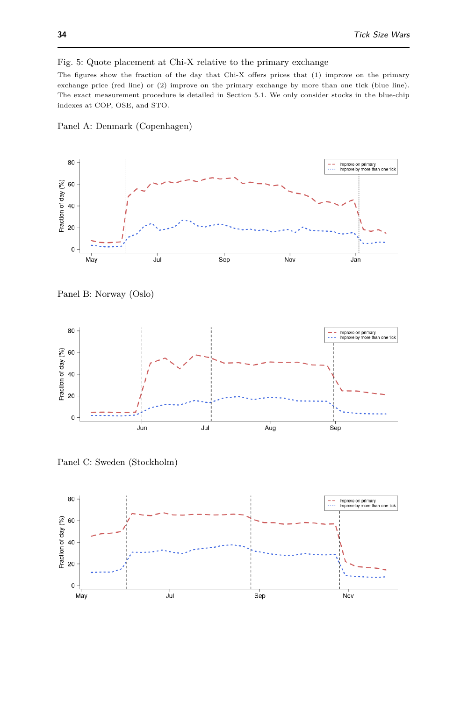### <span id="page-33-0"></span>Fig. 5: Quote placement at Chi-X relative to the primary exchange

The figures show the fraction of the day that Chi-X offers prices that (1) improve on the primary exchange price (red line) or (2) improve on the primary exchange by more than one tick (blue line). The exact measurement procedure is detailed in Section [5.1.](#page-29-1) We only consider stocks in the blue-chip indexes at COP, OSE, and STO.



Panel A: Denmark (Copenhagen)

Panel B: Norway (Oslo)



Panel C: Sweden (Stockholm)

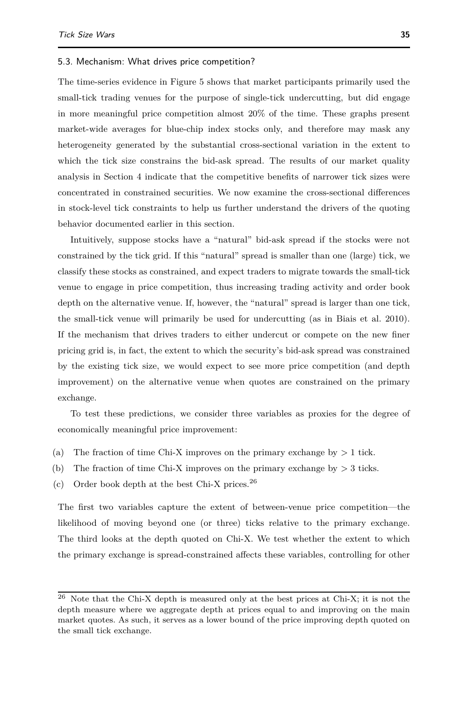#### 5.3. Mechanism: What drives price competition?

The time-series evidence in Figure [5](#page-33-0) shows that market participants primarily used the small-tick trading venues for the purpose of single-tick undercutting, but did engage in more meaningful price competition almost 20% of the time. These graphs present market-wide averages for blue-chip index stocks only, and therefore may mask any heterogeneity generated by the substantial cross-sectional variation in the extent to which the tick size constrains the bid-ask spread. The results of our market quality analysis in Section [4](#page-12-0) indicate that the competitive benefits of narrower tick sizes were concentrated in constrained securities. We now examine the cross-sectional differences in stock-level tick constraints to help us further understand the drivers of the quoting behavior documented earlier in this section.

Intuitively, suppose stocks have a "natural" bid-ask spread if the stocks were not constrained by the tick grid. If this "natural" spread is smaller than one (large) tick, we classify these stocks as constrained, and expect traders to migrate towards the small-tick venue to engage in price competition, thus increasing trading activity and order book depth on the alternative venue. If, however, the "natural" spread is larger than one tick, the small-tick venue will primarily be used for undercutting (as in [Biais et al. 2010\)](#page-39-19). If the mechanism that drives traders to either undercut or compete on the new finer pricing grid is, in fact, the extent to which the security's bid-ask spread was constrained by the existing tick size, we would expect to see more price competition (and depth improvement) on the alternative venue when quotes are constrained on the primary exchange.

To test these predictions, we consider three variables as proxies for the degree of economically meaningful price improvement:

- (a) The fraction of time Chi-X improves on the primary exchange by *>* 1 tick.
- (b) The fraction of time Chi-X improves on the primary exchange by *>* 3 ticks.
- (c) Order book depth at the best Chi-X prices. $^{26}$  $^{26}$  $^{26}$

The first two variables capture the extent of between-venue price competition—the likelihood of moving beyond one (or three) ticks relative to the primary exchange. The third looks at the depth quoted on Chi-X. We test whether the extent to which the primary exchange is spread-constrained affects these variables, controlling for other

 $26$  Note that the Chi-X depth is measured only at the best prices at Chi-X; it is not the depth measure where we aggregate depth at prices equal to and improving on the main market quotes. As such, it serves as a lower bound of the price improving depth quoted on the small tick exchange.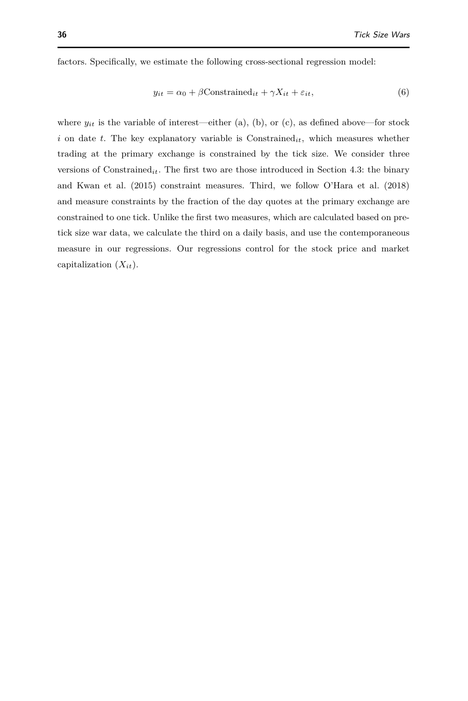factors. Specifically, we estimate the following cross-sectional regression model:

<span id="page-35-0"></span>
$$
y_{it} = \alpha_0 + \beta \text{Constrained}_{it} + \gamma X_{it} + \varepsilon_{it},\tag{6}
$$

where  $y_{it}$  is the variable of interest—either (a), (b), or (c), as defined above—for stock *i* on date *t*. The key explanatory variable is Constrained*it*, which measures whether trading at the primary exchange is constrained by the tick size. We consider three versions of Constrained*it*. The first two are those introduced in Section [4.3:](#page-19-0) the binary and [Kwan et al.](#page-40-0) [\(2015\)](#page-40-0) constraint measures. Third, we follow [O'Hara et al.](#page-40-10) [\(2018\)](#page-40-10) and measure constraints by the fraction of the day quotes at the primary exchange are constrained to one tick. Unlike the first two measures, which are calculated based on pretick size war data, we calculate the third on a daily basis, and use the contemporaneous measure in our regressions. Our regressions control for the stock price and market capitalization (*Xit*).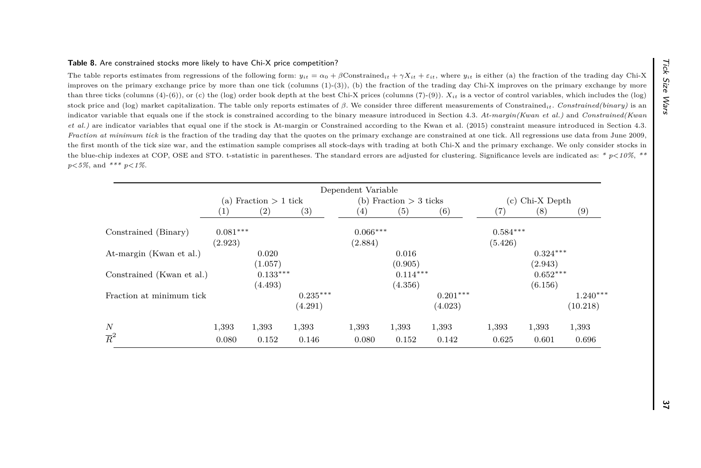<span id="page-36-0"></span>

| et al.) are indicator variables that equal one if the stock is At-margin or Constrained according to the Kwan et al. (2015) constraint measure introduced in Section 4.3.                                                                                                                                                                             |                         |            |            |                          |            |            |                   |            | indicator variable that equals one if the stock is constrained according to the binary measure introduced in Section 4.3. At-margin(Kwan et al.) and Constrained(Kwan |
|-------------------------------------------------------------------------------------------------------------------------------------------------------------------------------------------------------------------------------------------------------------------------------------------------------------------------------------------------------|-------------------------|------------|------------|--------------------------|------------|------------|-------------------|------------|-----------------------------------------------------------------------------------------------------------------------------------------------------------------------|
| Fraction at minimum tick is the fraction of the trading day that the quotes on the primary exchange are constrained at one tick. All regressions use data from June 2009,<br>the first month of the tick size war, and the estimation sample comprises all stock-days with trading at both Chi-X and the primary exchange. We only consider stocks in |                         |            |            |                          |            |            |                   |            |                                                                                                                                                                       |
| the blue-chip indexes at COP, OSE and STO. t-statistic in parentheses. The standard errors are adjusted for clustering. Significance levels are indicated as: * $p<10\%$ , **                                                                                                                                                                         |                         |            |            |                          |            |            |                   |            |                                                                                                                                                                       |
| $p<5\%$ , and *** $p<1\%$ .                                                                                                                                                                                                                                                                                                                           |                         |            |            |                          |            |            |                   |            |                                                                                                                                                                       |
|                                                                                                                                                                                                                                                                                                                                                       |                         |            |            | Dependent Variable       |            |            |                   |            |                                                                                                                                                                       |
|                                                                                                                                                                                                                                                                                                                                                       | (a) Fraction $> 1$ tick |            |            | (b) Fraction $> 3$ ticks |            |            | $(c)$ Chi-X Depth |            |                                                                                                                                                                       |
|                                                                                                                                                                                                                                                                                                                                                       | (1)                     | (2)        | (3)        | (4)                      | (5)        | (6)        | (7)               | (8)        | (9)                                                                                                                                                                   |
| Constrained (Binary)                                                                                                                                                                                                                                                                                                                                  | $0.081***$              |            |            | $0.066***$               |            |            | $0.584***$        |            |                                                                                                                                                                       |
|                                                                                                                                                                                                                                                                                                                                                       | (2.923)                 |            |            | (2.884)                  |            |            | (5.426)           |            |                                                                                                                                                                       |
| At-margin (Kwan et al.)                                                                                                                                                                                                                                                                                                                               |                         | 0.020      |            |                          | 0.016      |            |                   | $0.324***$ |                                                                                                                                                                       |
|                                                                                                                                                                                                                                                                                                                                                       |                         | (1.057)    |            |                          | (0.905)    |            |                   | (2.943)    |                                                                                                                                                                       |
| Constrained (Kwan et al.)                                                                                                                                                                                                                                                                                                                             |                         | $0.133***$ |            |                          | $0.114***$ |            |                   | $0.652***$ |                                                                                                                                                                       |
|                                                                                                                                                                                                                                                                                                                                                       |                         | (4.493)    |            |                          | (4.356)    |            |                   | (6.156)    |                                                                                                                                                                       |
| Fraction at minimum tick                                                                                                                                                                                                                                                                                                                              |                         |            | $0.235***$ |                          |            | $0.201***$ |                   |            | $1.240***$                                                                                                                                                            |
|                                                                                                                                                                                                                                                                                                                                                       |                         |            | (4.291)    |                          |            | (4.023)    |                   |            | (10.218)                                                                                                                                                              |
| N                                                                                                                                                                                                                                                                                                                                                     | 1,393                   | 1,393      | 1,393      | 1,393                    | 1,393      | 1,393      | 1,393             | 1,393      | 1,393                                                                                                                                                                 |
| $\overline{R}^2$                                                                                                                                                                                                                                                                                                                                      | 0.080                   | 0.152      | 0.146      | 0.080                    | 0.152      | 0.142      | 0.625             | 0.601      | 0.696                                                                                                                                                                 |
|                                                                                                                                                                                                                                                                                                                                                       |                         |            |            |                          |            |            |                   |            |                                                                                                                                                                       |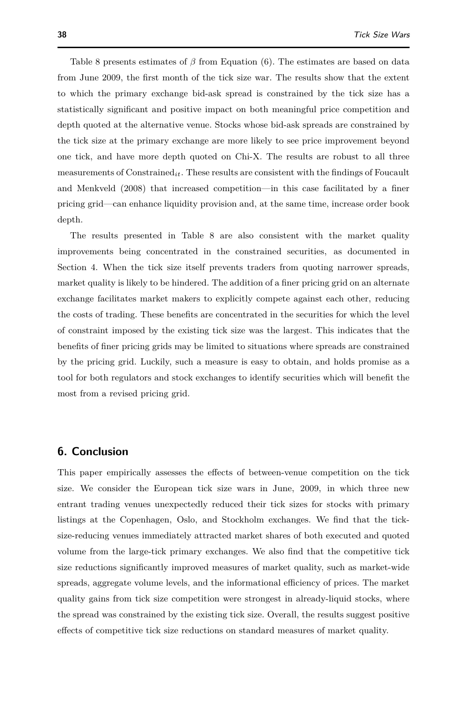Table [8](#page-36-0) presents estimates of *β* from Equation [\(6\)](#page-35-0). The estimates are based on data from June 2009, the first month of the tick size war. The results show that the extent to which the primary exchange bid-ask spread is constrained by the tick size has a statistically significant and positive impact on both meaningful price competition and depth quoted at the alternative venue. Stocks whose bid-ask spreads are constrained by the tick size at the primary exchange are more likely to see price improvement beyond one tick, and have more depth quoted on Chi-X. The results are robust to all three measurements of Constrained*it*. These results are consistent with the findings of [Foucault](#page-40-25) [and Menkveld](#page-40-25) [\(2008\)](#page-40-25) that increased competition—in this case facilitated by a finer pricing grid—can enhance liquidity provision and, at the same time, increase order book depth.

The results presented in Table [8](#page-36-0) are also consistent with the market quality improvements being concentrated in the constrained securities, as documented in Section [4.](#page-12-0) When the tick size itself prevents traders from quoting narrower spreads, market quality is likely to be hindered. The addition of a finer pricing grid on an alternate exchange facilitates market makers to explicitly compete against each other, reducing the costs of trading. These benefits are concentrated in the securities for which the level of constraint imposed by the existing tick size was the largest. This indicates that the benefits of finer pricing grids may be limited to situations where spreads are constrained by the pricing grid. Luckily, such a measure is easy to obtain, and holds promise as a tool for both regulators and stock exchanges to identify securities which will benefit the most from a revised pricing grid.

# <span id="page-37-0"></span>**6. Conclusion**

This paper empirically assesses the effects of between-venue competition on the tick size. We consider the European tick size wars in June, 2009, in which three new entrant trading venues unexpectedly reduced their tick sizes for stocks with primary listings at the Copenhagen, Oslo, and Stockholm exchanges. We find that the ticksize-reducing venues immediately attracted market shares of both executed and quoted volume from the large-tick primary exchanges. We also find that the competitive tick size reductions significantly improved measures of market quality, such as market-wide spreads, aggregate volume levels, and the informational efficiency of prices. The market quality gains from tick size competition were strongest in already-liquid stocks, where the spread was constrained by the existing tick size. Overall, the results suggest positive effects of competitive tick size reductions on standard measures of market quality.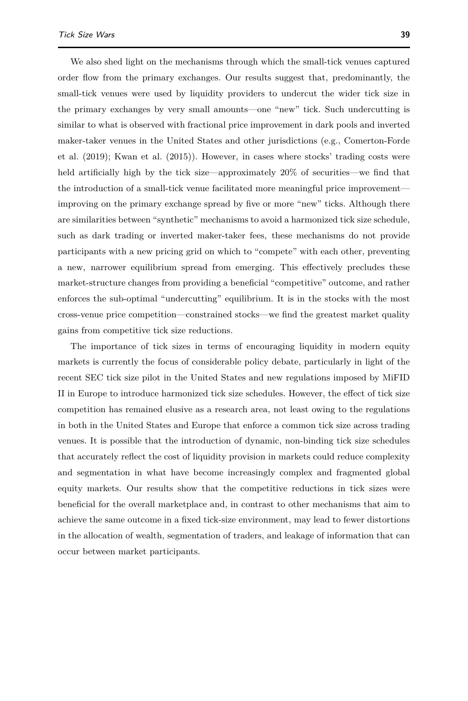We also shed light on the mechanisms through which the small-tick venues captured order flow from the primary exchanges. Our results suggest that, predominantly, the small-tick venues were used by liquidity providers to undercut the wider tick size in the primary exchanges by very small amounts—one "new" tick. Such undercutting is similar to what is observed with fractional price improvement in dark pools and inverted maker-taker venues in the United States and other jurisdictions (e.g., [Comerton-Forde](#page-39-0) [et al.](#page-39-0) [\(2019\)](#page-39-0); [Kwan et al.](#page-40-0) [\(2015\)](#page-40-0)). However, in cases where stocks' trading costs were held artificially high by the tick size—approximately 20% of securities—we find that the introduction of a small-tick venue facilitated more meaningful price improvement improving on the primary exchange spread by five or more "new" ticks. Although there are similarities between "synthetic" mechanisms to avoid a harmonized tick size schedule, such as dark trading or inverted maker-taker fees, these mechanisms do not provide participants with a new pricing grid on which to "compete" with each other, preventing a new, narrower equilibrium spread from emerging. This effectively precludes these market-structure changes from providing a beneficial "competitive" outcome, and rather enforces the sub-optimal "undercutting" equilibrium. It is in the stocks with the most cross-venue price competition—constrained stocks—we find the greatest market quality gains from competitive tick size reductions.

The importance of tick sizes in terms of encouraging liquidity in modern equity markets is currently the focus of considerable policy debate, particularly in light of the recent SEC tick size pilot in the United States and new regulations imposed by MiFID II in Europe to introduce harmonized tick size schedules. However, the effect of tick size competition has remained elusive as a research area, not least owing to the regulations in both in the United States and Europe that enforce a common tick size across trading venues. It is possible that the introduction of dynamic, non-binding tick size schedules that accurately reflect the cost of liquidity provision in markets could reduce complexity and segmentation in what have become increasingly complex and fragmented global equity markets. Our results show that the competitive reductions in tick sizes were beneficial for the overall marketplace and, in contrast to other mechanisms that aim to achieve the same outcome in a fixed tick-size environment, may lead to fewer distortions in the allocation of wealth, segmentation of traders, and leakage of information that can occur between market participants.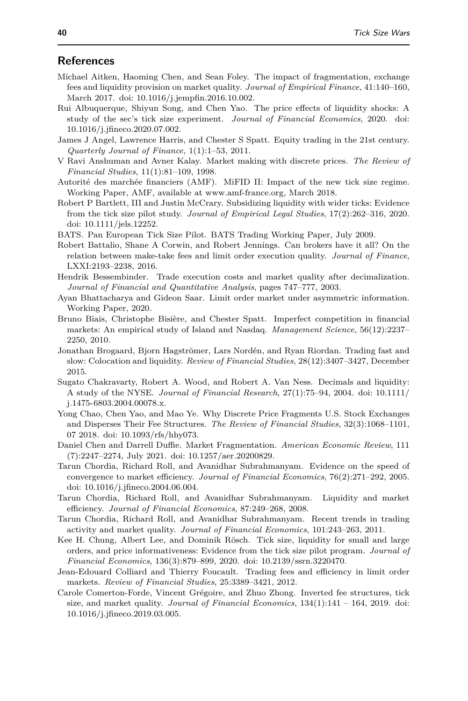# **References**

- <span id="page-39-18"></span>Michael Aitken, Haoming Chen, and Sean Foley. The impact of fragmentation, exchange fees and liquidity provision on market quality. *Journal of Empirical Finance*, 41:140–160, March 2017. doi: 10.1016/j.jempfin.2016.10.002.
- <span id="page-39-9"></span>Rui Albuquerque, Shiyun Song, and Chen Yao. The price effects of liquidity shocks: A study of the sec's tick size experiment. *Journal of Financial Economics*, 2020. doi: 10.1016/j.jfineco.2020.07.002.
- <span id="page-39-2"></span>James J Angel, Lawrence Harris, and Chester S Spatt. Equity trading in the 21st century. *Quarterly Journal of Finance*, 1(1):1–53, 2011.
- <span id="page-39-6"></span>V Ravi Anshuman and Avner Kalay. Market making with discrete prices. *The Review of Financial Studies*, 11(1):81–109, 1998.
- <span id="page-39-14"></span>Autorité des marchée financiers (AMF). MiFID II: Impact of the new tick size regime. Working Paper, AMF, available at www.amf-france.org, March 2018.
- <span id="page-39-11"></span>Robert P Bartlett, III and Justin McCrary. Subsidizing liquidity with wider ticks: Evidence from the tick size pilot study. *Journal of Empirical Legal Studies*, 17(2):262–316, 2020. doi: 10.1111/jels.12252.
- <span id="page-39-13"></span>BATS. Pan European Tick Size Pilot. BATS Trading Working Paper, July 2009.
- <span id="page-39-5"></span>Robert Battalio, Shane A Corwin, and Robert Jennings. Can brokers have it all? On the relation between make-take fees and limit order execution quality. *Journal of Finance*, LXXI:2193–2238, 2016.
- <span id="page-39-7"></span>Hendrik Bessembinder. Trade execution costs and market quality after decimalization. *Journal of Financial and Quantitative Analysis*, pages 747–777, 2003.
- <span id="page-39-20"></span>Ayan Bhattacharya and Gideon Saar. Limit order market under asymmetric information. Working Paper, 2020.
- <span id="page-39-19"></span>Bruno Biais, Christophe Bisière, and Chester Spatt. Imperfect competition in financial markets: An empirical study of Island and Nasdaq. *Management Science*, 56(12):2237– 2250, 2010.
- <span id="page-39-12"></span>Jonathan Brogaard, Bjorn Hagströmer, Lars Nordén, and Ryan Riordan. Trading fast and slow: Colocation and liquidity. *Review of Financial Studies*, 28(12):3407–3427, December 2015.
- <span id="page-39-8"></span>Sugato Chakravarty, Robert A. Wood, and Robert A. Van Ness. Decimals and liquidity: A study of the NYSE. *Journal of Financial Research*, 27(1):75–94, 2004. doi: 10.1111/ j.1475-6803.2004.00078.x.
- <span id="page-39-1"></span>Yong Chao, Chen Yao, and Mao Ye. Why Discrete Price Fragments U.S. Stock Exchanges and Disperses Their Fee Structures. *The Review of Financial Studies*, 32(3):1068–1101, 07 2018. doi: 10.1093/rfs/hhy073.
- <span id="page-39-4"></span>Daniel Chen and Darrell Duffie. Market Fragmentation. *American Economic Review*, 111 (7):2247–2274, July 2021. doi: 10.1257/aer.20200829.
- <span id="page-39-15"></span>Tarun Chordia, Richard Roll, and Avanidhar Subrahmanyam. Evidence on the speed of convergence to market efficiency. *Journal of Financial Economics*, 76(2):271–292, 2005. doi: 10.1016/j.jfineco.2004.06.004.
- <span id="page-39-16"></span>Tarun Chordia, Richard Roll, and Avanidhar Subrahmanyam. Liquidity and market efficiency. *Journal of Financial Economics*, 87:249–268, 2008.
- <span id="page-39-17"></span>Tarun Chordia, Richard Roll, and Avanidhar Subrahmanyam. Recent trends in trading activity and market quality. *Journal of Financial Economics*, 101:243–263, 2011.
- <span id="page-39-10"></span>Kee H. Chung, Albert Lee, and Dominik Rösch. Tick size, liquidity for small and large orders, and price informativeness: Evidence from the tick size pilot program. *Journal of Financial Economics*, 136(3):879–899, 2020. doi: 10.2139/ssrn.3220470.
- <span id="page-39-3"></span>Jean-Edouard Colliard and Thierry Foucault. Trading fees and efficiency in limit order markets. *Review of Financial Studies*, 25:3389–3421, 2012.
- <span id="page-39-0"></span>Carole Comerton-Forde, Vincent Grégoire, and Zhuo Zhong. Inverted fee structures, tick size, and market quality. *Journal of Financial Economics*, 134(1):141 – 164, 2019. doi: 10.1016/j.jfineco.2019.03.005.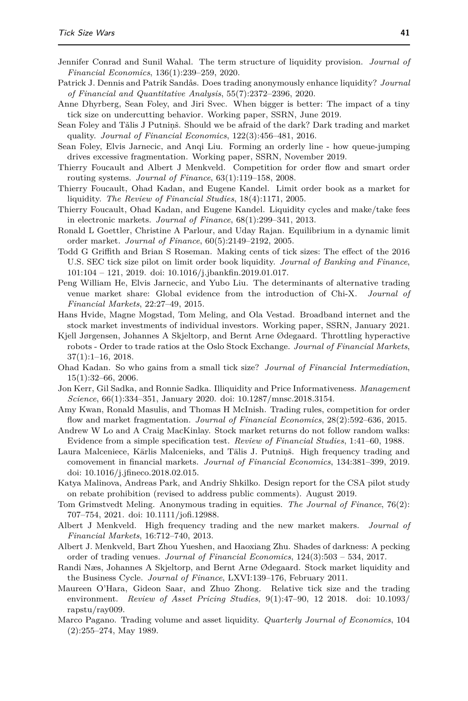- <span id="page-40-21"></span><span id="page-40-18"></span>Jennifer Conrad and Sunil Wahal. The term structure of liquidity provision. *Journal of Financial Economics*, 136(1):239–259, 2020.
- <span id="page-40-16"></span>Patrick J. Dennis and Patrik Sandås. Does trading anonymously enhance liquidity? *Journal of Financial and Quantitative Analysis*, 55(7):2372–2396, 2020.
- <span id="page-40-20"></span>Anne Dhyrberg, Sean Foley, and Jiri Svec. When bigger is better: The impact of a tiny tick size on undercutting behavior. Working paper, SSRN, June 2019.
- <span id="page-40-1"></span>Sean Foley and Tǎlis J Putniṇš. Should we be afraid of the dark? Dark trading and market quality. *Journal of Financial Economics*, 122(3):456–481, 2016.
- <span id="page-40-19"></span>Sean Foley, Elvis Jarnecic, and Anqi Liu. Forming an orderly line - how queue-jumping drives excessive fragmentation. Working paper, SSRN, November 2019.
- <span id="page-40-25"></span>Thierry Foucault and Albert J Menkveld. Competition for order flow and smart order routing systems. *Journal of Finance*, 63(1):119–158, 2008.
- <span id="page-40-24"></span>Thierry Foucault, Ohad Kadan, and Eugene Kandel. Limit order book as a market for liquidity. *The Review of Financial Studies*, 18(4):1171, 2005.
- <span id="page-40-2"></span>Thierry Foucault, Ohad Kadan, and Eugene Kandel. Liquidity cycles and make/take fees in electronic markets. *Journal of Finance*, 68(1):299–341, 2013.
- <span id="page-40-5"></span>Ronald L Goettler, Christine A Parlour, and Uday Rajan. Equilibrium in a dynamic limit order market. *Journal of Finance*, 60(5):2149–2192, 2005.
- <span id="page-40-9"></span>Todd G Griffith and Brian S Roseman. Making cents of tick sizes: The effect of the 2016 U.S. SEC tick size pilot on limit order book liquidity. *Journal of Banking and Finance*, 101:104 – 121, 2019. doi: 10.1016/j.jbankfin.2019.01.017.
- <span id="page-40-11"></span>Peng William He, Elvis Jarnecic, and Yubo Liu. The determinants of alternative trading venue market share: Global evidence from the introduction of Chi-X. *Journal of Financial Markets*, 22:27–49, 2015.
- <span id="page-40-17"></span>Hans Hvide, Magne Mogstad, Tom Meling, and Ola Vestad. Broadband internet and the stock market investments of individual investors. Working paper, SSRN, January 2021.
- <span id="page-40-14"></span>Kjell Jørgensen, Johannes A Skjeltorp, and Bernt Arne Ødegaard. Throttling hyperactive robots - Order to trade ratios at the Oslo Stock Exchange. *Journal of Financial Markets*, 37(1):1–16, 2018.
- <span id="page-40-7"></span>Ohad Kadan. So who gains from a small tick size? *Journal of Financial Intermediation*, 15(1):32–66, 2006.
- <span id="page-40-6"></span>Jon Kerr, Gil Sadka, and Ronnie Sadka. Illiquidity and Price Informativeness. *Management Science*, 66(1):334–351, January 2020. doi: 10.1287/mnsc.2018.3154.
- <span id="page-40-0"></span>Amy Kwan, Ronald Masulis, and Thomas H McInish. Trading rules, competition for order flow and market fragmentation. *Journal of Financial Economics*, 28(2):592–636, 2015.
- <span id="page-40-22"></span>Andrew W Lo and A Craig MacKinlay. Stock market returns do not follow random walks: Evidence from a simple specification test. *Review of Financial Studies*, 1:41–60, 1988.
- <span id="page-40-12"></span>Laura Malceniece, Kārlis Malcenieks, and Tālis J. Putninš. High frequency trading and comovement in financial markets. *Journal of Financial Economics*, 134:381–399, 2019. doi: 10.1016/j.jfineco.2018.02.015.
- <span id="page-40-8"></span>Katya Malinova, Andreas Park, and Andriy Shkilko. Design report for the CSA pilot study on rebate prohibition (revised to address public comments). August 2019.
- <span id="page-40-15"></span>Tom Grimstvedt Meling. Anonymous trading in equities. *The Journal of Finance*, 76(2): 707–754, 2021. doi: 10.1111/jofi.12988.
- <span id="page-40-4"></span>Albert J Menkveld. High frequency trading and the new market makers. *Journal of Financial Markets*, 16:712–740, 2013.
- <span id="page-40-3"></span>Albert J. Menkveld, Bart Zhou Yueshen, and Haoxiang Zhu. Shades of darkness: A pecking order of trading venues. *Journal of Financial Economics*, 124(3):503 – 534, 2017.
- <span id="page-40-13"></span>Randi Næs, Johannes A Skjeltorp, and Bernt Arne Ødegaard. Stock market liquidity and the Business Cycle. *Journal of Finance*, LXVI:139–176, February 2011.
- <span id="page-40-10"></span>Maureen O'Hara, Gideon Saar, and Zhuo Zhong. Relative tick size and the trading environment. *Review of Asset Pricing Studies*, 9(1):47–90, 12 2018. doi: 10.1093/ rapstu/ray009.
- <span id="page-40-23"></span>Marco Pagano. Trading volume and asset liquidity. *Quarterly Journal of Economics*, 104 (2):255–274, May 1989.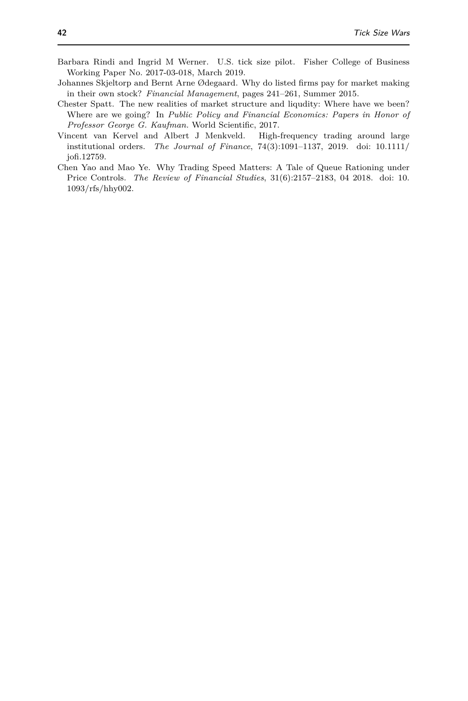- <span id="page-41-1"></span>Barbara Rindi and Ingrid M Werner. U.S. tick size pilot. Fisher College of Business Working Paper No. 2017-03-018, March 2019.
- <span id="page-41-4"></span>Johannes Skjeltorp and Bernt Arne Ødegaard. Why do listed firms pay for market making in their own stock? *Financial Management*, pages 241–261, Summer 2015.
- <span id="page-41-0"></span>Chester Spatt. The new realities of market structure and liqudity: Where have we been? Where are we going? In *Public Policy and Financial Economics: Papers in Honor of Professor George G. Kaufman.* World Scientific, 2017.
- <span id="page-41-3"></span>Vincent van Kervel and Albert J Menkveld. High-frequency trading around large institutional orders. *The Journal of Finance*, 74(3):1091–1137, 2019. doi: 10.1111/ jofi.12759.
- <span id="page-41-2"></span>Chen Yao and Mao Ye. Why Trading Speed Matters: A Tale of Queue Rationing under Price Controls. *The Review of Financial Studies*, 31(6):2157–2183, 04 2018. doi: 10. 1093/rfs/hhy002.